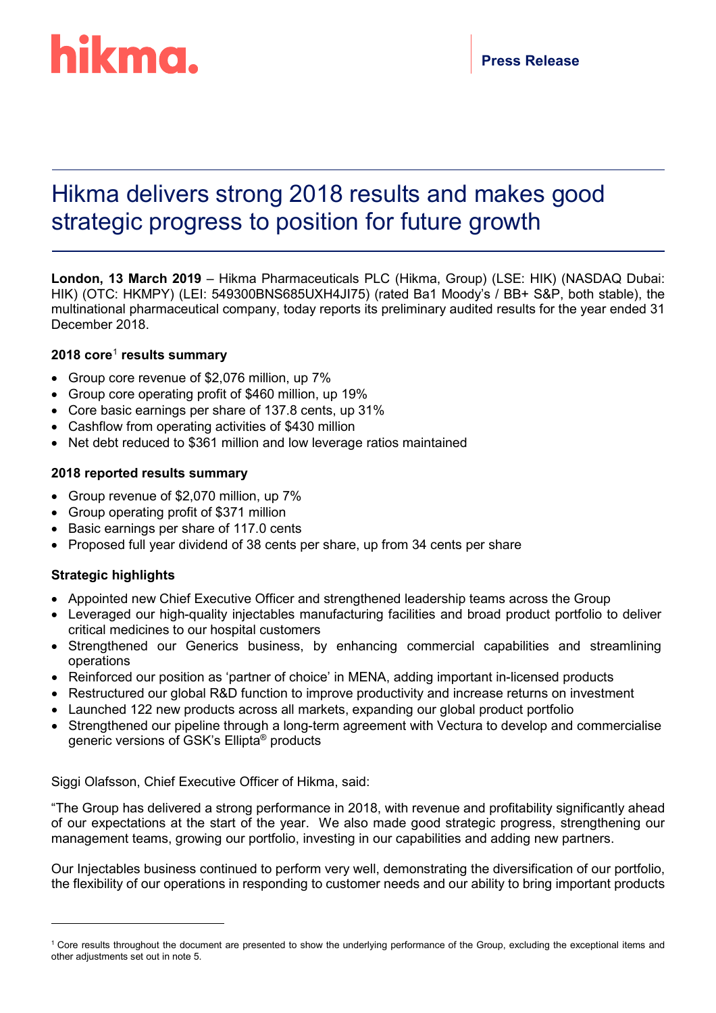

# Hikma delivers strong 2018 results and makes good strategic progress to position for future growth

**London, 13 March 2019** – Hikma Pharmaceuticals PLC (Hikma, Group) (LSE: HIK) (NASDAQ Dubai: HIK) (OTC: HKMPY) (LEI: 549300BNS685UXH4JI75) (rated Ba1 Moody's / BB+ S&P, both stable), the multinational pharmaceutical company, today reports its preliminary audited results for the year ended 31 December 2018.

# **2018 core**[1](#page-0-0) **results summary**

- Group core revenue of \$2,076 million, up 7%
- Group core operating profit of \$460 million, up 19%
- Core basic earnings per share of 137.8 cents, up 31%
- Cashflow from operating activities of \$430 million
- Net debt reduced to \$361 million and low leverage ratios maintained

# **2018 reported results summary**

- Group revenue of \$2,070 million, up 7%
- Group operating profit of \$371 million
- Basic earnings per share of 117.0 cents
- Proposed full year dividend of 38 cents per share, up from 34 cents per share

# **Strategic highlights**

-

- Appointed new Chief Executive Officer and strengthened leadership teams across the Group
- Leveraged our high-quality injectables manufacturing facilities and broad product portfolio to deliver critical medicines to our hospital customers
- Strengthened our Generics business, by enhancing commercial capabilities and streamlining operations
- Reinforced our position as 'partner of choice' in MENA, adding important in-licensed products
- Restructured our global R&D function to improve productivity and increase returns on investment
- Launched 122 new products across all markets, expanding our global product portfolio
- Strengthened our pipeline through a long-term agreement with Vectura to develop and commercialise generic versions of GSK's Ellipta® products

Siggi Olafsson, Chief Executive Officer of Hikma, said:

"The Group has delivered a strong performance in 2018, with revenue and profitability significantly ahead of our expectations at the start of the year. We also made good strategic progress, strengthening our management teams, growing our portfolio, investing in our capabilities and adding new partners.

Our Injectables business continued to perform very well, demonstrating the diversification of our portfolio, the flexibility of our operations in responding to customer needs and our ability to bring important products

<span id="page-0-0"></span><sup>&</sup>lt;sup>1</sup> Core results throughout the document are presented to show the underlying performance of the Group, excluding the exceptional items and other adjustments set out in note 5.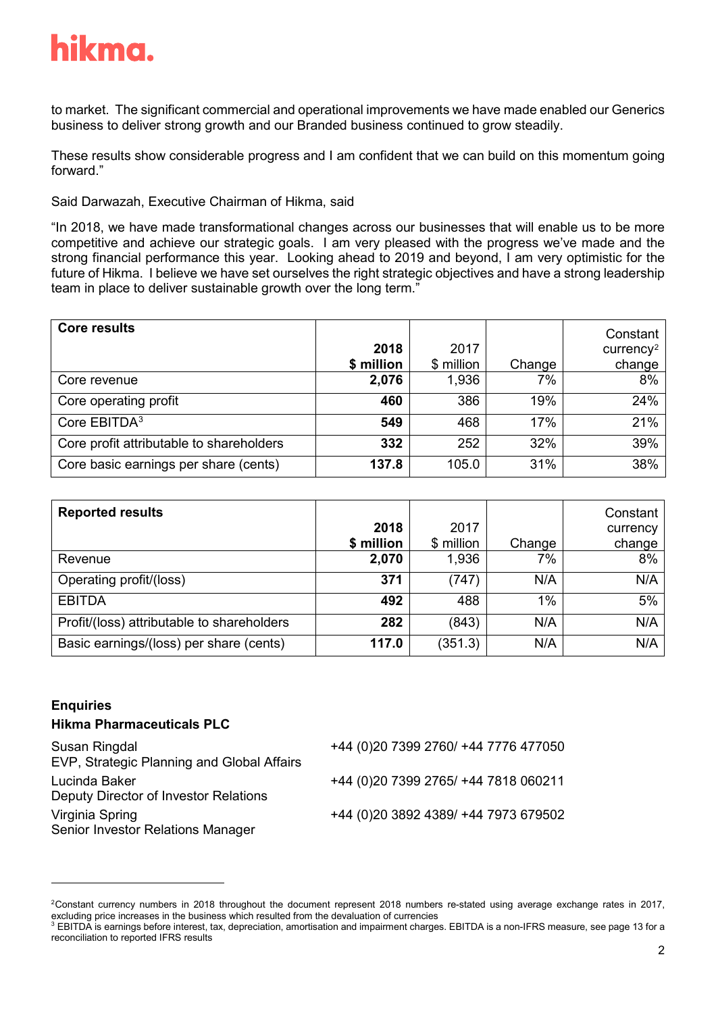

to market. The significant commercial and operational improvements we have made enabled our Generics business to deliver strong growth and our Branded business continued to grow steadily.

These results show considerable progress and I am confident that we can build on this momentum going forward."

Said Darwazah, Executive Chairman of Hikma, said

"In 2018, we have made transformational changes across our businesses that will enable us to be more competitive and achieve our strategic goals. I am very pleased with the progress we've made and the strong financial performance this year. Looking ahead to 2019 and beyond, I am very optimistic for the future of Hikma. I believe we have set ourselves the right strategic objectives and have a strong leadership team in place to deliver sustainable growth over the long term."

| <b>Core results</b>                      | 2018<br>\$ million | 2017<br>\$ million | Change | Constant<br>$curve$ ncy <sup>2</sup><br>change |
|------------------------------------------|--------------------|--------------------|--------|------------------------------------------------|
| Core revenue                             | 2,076              | 1,936              | 7%     | 8%                                             |
| Core operating profit                    | 460                | 386                | 19%    | 24%                                            |
| Core EBITDA <sup>3</sup>                 | 549                | 468                | 17%    | 21%                                            |
| Core profit attributable to shareholders | 332                | 252                | 32%    | 39%                                            |
| Core basic earnings per share (cents)    | 137.8              | 105.0              | 31%    | 38%                                            |

| <b>Reported results</b>                    | 2018<br>\$ million | 2017<br>\$ million | Change | Constant<br>currency<br>change |
|--------------------------------------------|--------------------|--------------------|--------|--------------------------------|
| Revenue                                    | 2,070              | 1,936              | 7%     | 8%                             |
| Operating profit/(loss)                    | 371                | (747)              | N/A    | N/A                            |
| <b>EBITDA</b>                              | 492                | 488                | $1\%$  | 5%                             |
| Profit/(loss) attributable to shareholders | 282                | (843)              | N/A    | N/A                            |
| Basic earnings/(loss) per share (cents)    | 117.0              | (351.3)            | N/A    | N/A                            |

# **Enquiries**

-

# **Hikma Pharmaceuticals PLC**

| Susan Ringdal<br>EVP, Strategic Planning and Global Affairs | +44 (0)20 7399 2760/ +44 7776 477050  |
|-------------------------------------------------------------|---------------------------------------|
| Lucinda Baker<br>Deputy Director of Investor Relations      | +44 (0) 20 7399 2765/ +44 7818 060211 |
| Virginia Spring<br>Senior Investor Relations Manager        | +44 (0)20 3892 4389/ +44 7973 679502  |

<span id="page-1-0"></span><sup>2</sup>Constant currency numbers in 2018 throughout the document represent 2018 numbers re-stated using average exchange rates in 2017, excluding price increases in the business which resulted from the devaluation of currencies

<span id="page-1-1"></span><sup>&</sup>lt;sup>3</sup> EBITDA is earnings before interest, tax, depreciation, amortisation and impairment charges. EBITDA is a non-IFRS measure, see page 13 for a reconciliation to reported IFRS results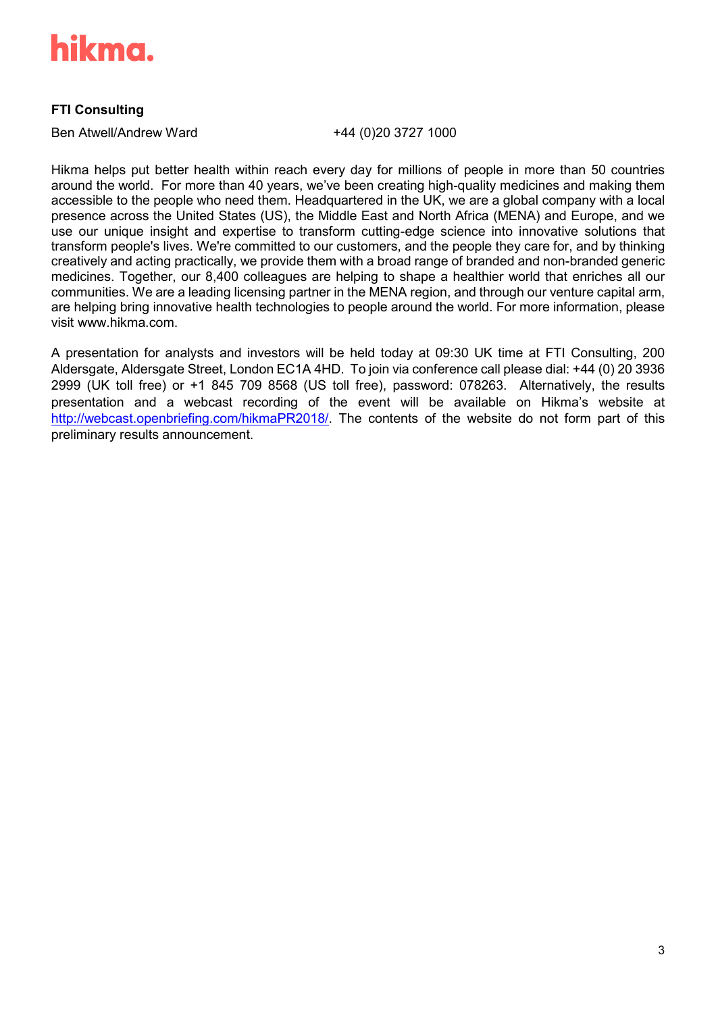

# **FTI Consulting**

Ben Atwell/Andrew Ward +44 (0)20 3727 1000

Hikma helps put better health within reach every day for millions of people in more than 50 countries around the world. For more than 40 years, we've been creating high-quality medicines and making them accessible to the people who need them. Headquartered in the UK, we are a global company with a local presence across the United States (US), the Middle East and North Africa (MENA) and Europe, and we use our unique insight and expertise to transform cutting-edge science into innovative solutions that transform people's lives. We're committed to our customers, and the people they care for, and by thinking creatively and acting practically, we provide them with a broad range of branded and non-branded generic medicines. Together, our 8,400 colleagues are helping to shape a healthier world that enriches all our communities. We are a leading licensing partner in the MENA region, and through our venture capital arm, are helping bring innovative health technologies to people around the world. For more information, please visit [www.hikma.com.](http://www.hikma.com/)

A presentation for analysts and investors will be held today at 09:30 UK time at FTI Consulting, 200 Aldersgate, Aldersgate Street, London EC1A 4HD. To join via conference call please dial: +44 (0) 20 3936 2999 (UK toll free) or +1 845 709 8568 (US toll free), password: 078263. Alternatively, the results presentation and a webcast recording of the event will be available on Hikma's website at [http://webcast.openbriefing.com/hikmaPR2018/.](https://nam04.safelinks.protection.outlook.com/?url=http%3A%2F%2Fwebcast.openbriefing.com%2FhikmaPR2018%2F&data=02%7C01%7CLucinda%40hikma.uk.com%7C7cf45d6124484e57f36b08d6a60efc6d%7C178c1a723d3c40afbaa754615303bcdc%7C0%7C0%7C636878980620543649&sdata=35gb3CJGTvuaMvvm2pE9iPg18iz5iOtg6BsTdrGbhz4%3D&reserved=0) The contents of the website do not form part of this preliminary results announcement.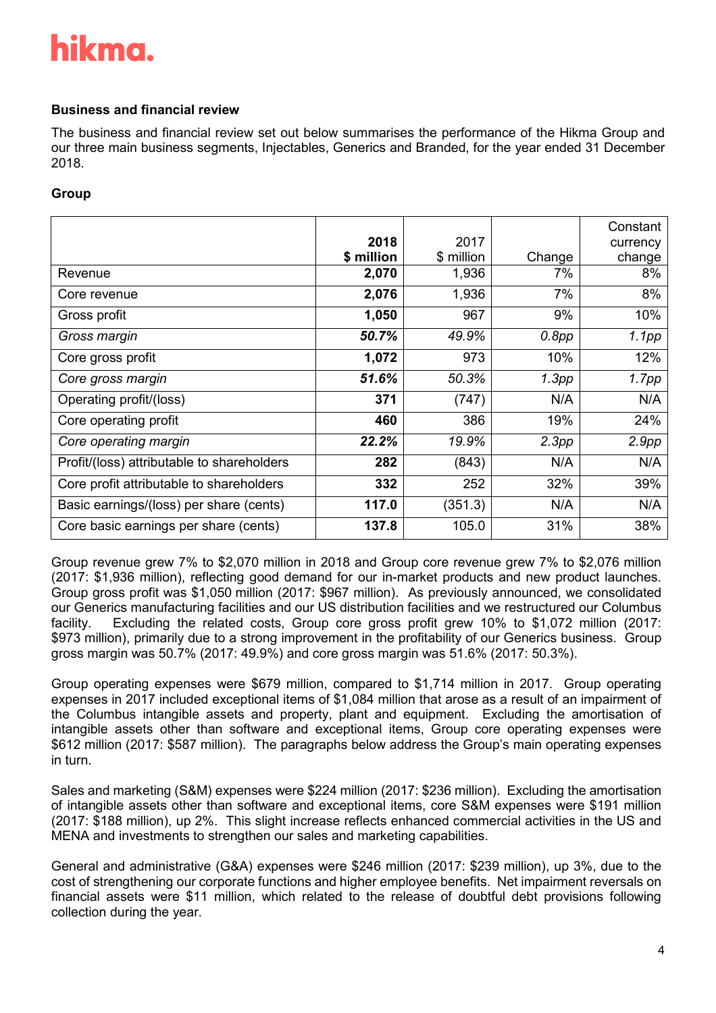# **Business and financial review**

The business and financial review set out below summarises the performance of the Hikma Group and our three main business segments, Injectables, Generics and Branded, for the year ended 31 December 2018.

# **Group**

|                                            |            |            |        | Constant |
|--------------------------------------------|------------|------------|--------|----------|
|                                            | 2018       | 2017       |        | currency |
|                                            | \$ million | \$ million | Change | change   |
| Revenue                                    | 2,070      | 1,936      | 7%     | 8%       |
| Core revenue                               | 2,076      | 1,936      | 7%     | 8%       |
| Gross profit                               | 1,050      | 967        | 9%     | 10%      |
| Gross margin                               | 50.7%      | 49.9%      | 0.8pp  | 1.1pp    |
| Core gross profit                          | 1,072      | 973        | 10%    | 12%      |
| Core gross margin                          | 51.6%      | 50.3%      | 1.3pp  | 1.7pp    |
| Operating profit/(loss)                    | 371        | (747)      | N/A    | N/A      |
| Core operating profit                      | 460        | 386        | 19%    | 24%      |
| Core operating margin                      | 22.2%      | 19.9%      | 2.3pp  | 2.9pp    |
| Profit/(loss) attributable to shareholders | 282        | (843)      | N/A    | N/A      |
| Core profit attributable to shareholders   | 332        | 252        | 32%    | 39%      |
| Basic earnings/(loss) per share (cents)    | 117.0      | (351.3)    | N/A    | N/A      |
| Core basic earnings per share (cents)      | 137.8      | 105.0      | 31%    | 38%      |

Group revenue grew 7% to \$2,070 million in 2018 and Group core revenue grew 7% to \$2,076 million (2017: \$1,936 million), reflecting good demand for our in-market products and new product launches. Group gross profit was \$1,050 million (2017: \$967 million). As previously announced, we consolidated our Generics manufacturing facilities and our US distribution facilities and we restructured our Columbus facility. Excluding the related costs, Group core gross profit grew 10% to \$1,072 million (2017: \$973 million), primarily due to a strong improvement in the profitability of our Generics business. Group gross margin was 50.7% (2017: 49.9%) and core gross margin was 51.6% (2017: 50.3%).

Group operating expenses were \$679 million, compared to \$1,714 million in 2017. Group operating expenses in 2017 included exceptional items of \$1,084 million that arose as a result of an impairment of the Columbus intangible assets and property, plant and equipment. Excluding the amortisation of intangible assets other than software and exceptional items, Group core operating expenses were \$612 million (2017: \$587 million). The paragraphs below address the Group's main operating expenses in turn.

Sales and marketing (S&M) expenses were \$224 million (2017: \$236 million). Excluding the amortisation of intangible assets other than software and exceptional items, core S&M expenses were \$191 million (2017: \$188 million), up 2%. This slight increase reflects enhanced commercial activities in the US and MENA and investments to strengthen our sales and marketing capabilities.

General and administrative (G&A) expenses were \$246 million (2017: \$239 million), up 3%, due to the cost of strengthening our corporate functions and higher employee benefits. Net impairment reversals on financial assets were \$11 million, which related to the release of doubtful debt provisions following collection during the year.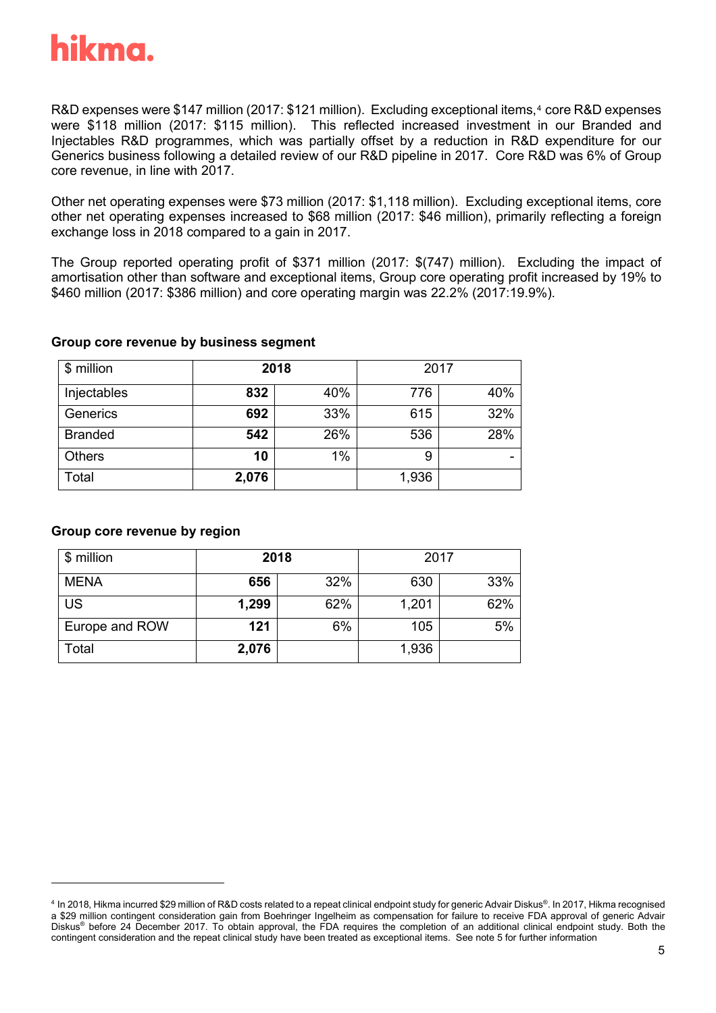

R&D expenses were \$1[4](#page-4-0)7 million (2017: \$121 million). Excluding exceptional items,<sup>4</sup> core R&D expenses were \$118 million (2017: \$115 million). This reflected increased investment in our Branded and Injectables R&D programmes, which was partially offset by a reduction in R&D expenditure for our Generics business following a detailed review of our R&D pipeline in 2017. Core R&D was 6% of Group core revenue, in line with 2017.

Other net operating expenses were \$73 million (2017: \$1,118 million). Excluding exceptional items, core other net operating expenses increased to \$68 million (2017: \$46 million), primarily reflecting a foreign exchange loss in 2018 compared to a gain in 2017.

The Group reported operating profit of \$371 million (2017: \$(747) million). Excluding the impact of amortisation other than software and exceptional items, Group core operating profit increased by 19% to \$460 million (2017: \$386 million) and core operating margin was 22.2% (2017:19.9%).

# **Group core revenue by business segment**

| \$ million     |       | 2018 | 2017  |     |
|----------------|-------|------|-------|-----|
| Injectables    | 832   | 40%  | 776   | 40% |
| Generics       | 692   | 33%  | 615   | 32% |
| <b>Branded</b> | 542   | 26%  | 536   | 28% |
| <b>Others</b>  | 10    | 1%   | 9     | ۰   |
| Total          | 2,076 |      | 1,936 |     |

# **Group core revenue by region**

-

| \$ million     | 2018  |     | 2017  |     |
|----------------|-------|-----|-------|-----|
| <b>MENA</b>    | 656   | 32% | 630   | 33% |
| <b>US</b>      | 1,299 | 62% | 1,201 | 62% |
| Europe and ROW | 121   | 6%  | 105   | 5%  |
| Total          | 2,076 |     | 1,936 |     |

<span id="page-4-0"></span><sup>4</sup> In 2018, Hikma incurred \$29 million of R&D costs related to a repeat clinical endpoint study for generic Advair Diskus®. In 2017, Hikma recognised a \$29 million contingent consideration gain from Boehringer Ingelheim as compensation for failure to receive FDA approval of generic Advair Diskus® before 24 December 2017. To obtain approval, the FDA requires the completion of an additional clinical endpoint study. Both the contingent consideration and the repeat clinical study have been treated as exceptional items. See note 5 for further information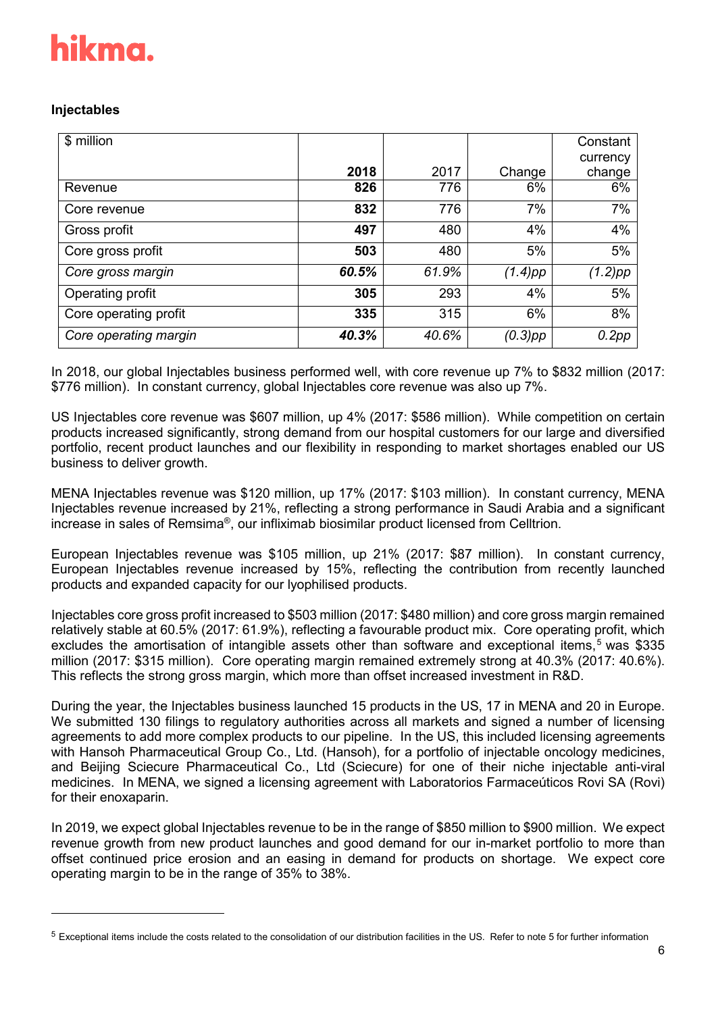# **Injectables**

| \$ million            |       |       |            | Constant<br>currency |
|-----------------------|-------|-------|------------|----------------------|
|                       | 2018  | 2017  | Change     | change               |
| Revenue               | 826   | 776   | 6%         | 6%                   |
| Core revenue          | 832   | 776   | 7%         | 7%                   |
| Gross profit          | 497   | 480   | 4%         | 4%                   |
| Core gross profit     | 503   | 480   | 5%         | 5%                   |
| Core gross margin     | 60.5% | 61.9% | $(1.4)$ pp | (1.2)pp              |
| Operating profit      | 305   | 293   | 4%         | 5%                   |
| Core operating profit | 335   | 315   | 6%         | 8%                   |
| Core operating margin | 40.3% | 40.6% | $(0.3)$ pp | 0.2pp                |

In 2018, our global Injectables business performed well, with core revenue up 7% to \$832 million (2017: \$776 million). In constant currency, global Injectables core revenue was also up 7%.

US Injectables core revenue was \$607 million, up 4% (2017: \$586 million). While competition on certain products increased significantly, strong demand from our hospital customers for our large and diversified portfolio, recent product launches and our flexibility in responding to market shortages enabled our US business to deliver growth.

MENA Injectables revenue was \$120 million, up 17% (2017: \$103 million). In constant currency, MENA Injectables revenue increased by 21%, reflecting a strong performance in Saudi Arabia and a significant increase in sales of Remsima®, our infliximab biosimilar product licensed from Celltrion.

European Injectables revenue was \$105 million, up 21% (2017: \$87 million). In constant currency, European Injectables revenue increased by 15%, reflecting the contribution from recently launched products and expanded capacity for our lyophilised products.

Injectables core gross profit increased to \$503 million (2017: \$480 million) and core gross margin remained relatively stable at 60.5% (2017: 61.9%), reflecting a favourable product mix. Core operating profit, which excludes the amortisation of intangible assets other than software and exceptional items,<sup>[5](#page-5-0)</sup> was \$335 million (2017: \$315 million). Core operating margin remained extremely strong at 40.3% (2017: 40.6%). This reflects the strong gross margin, which more than offset increased investment in R&D.

During the year, the Injectables business launched 15 products in the US, 17 in MENA and 20 in Europe. We submitted 130 filings to regulatory authorities across all markets and signed a number of licensing agreements to add more complex products to our pipeline. In the US, this included licensing agreements with Hansoh Pharmaceutical Group Co., Ltd. (Hansoh), for a portfolio of injectable oncology medicines, and Beijing Sciecure Pharmaceutical Co., Ltd (Sciecure) for one of their niche injectable anti-viral medicines. In MENA, we signed a licensing agreement with Laboratorios Farmaceúticos Rovi SA (Rovi) for their enoxaparin.

In 2019, we expect global Injectables revenue to be in the range of \$850 million to \$900 million. We expect revenue growth from new product launches and good demand for our in-market portfolio to more than offset continued price erosion and an easing in demand for products on shortage. We expect core operating margin to be in the range of 35% to 38%.

<span id="page-5-0"></span> $5$  Exceptional items include the costs related to the consolidation of our distribution facilities in the US. Refer to note 5 for further information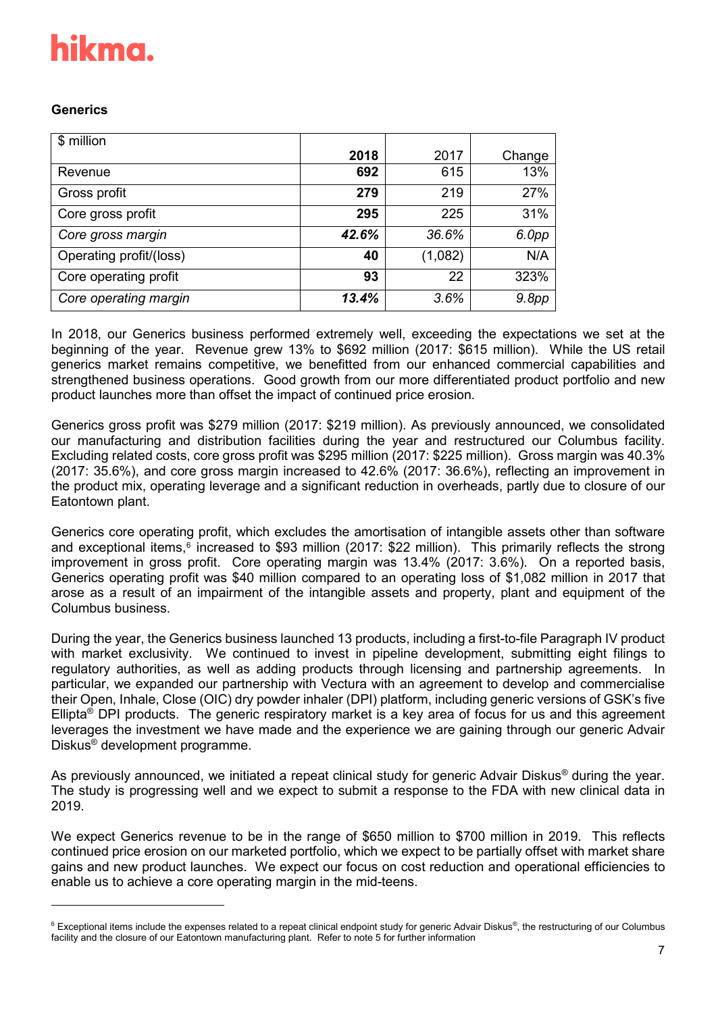# **Generics**

| \$ million              |       |         |        |
|-------------------------|-------|---------|--------|
|                         | 2018  | 2017    | Change |
| Revenue                 | 692   | 615     | 13%    |
| Gross profit            | 279   | 219     | 27%    |
| Core gross profit       | 295   | 225     | 31%    |
| Core gross margin       | 42.6% | 36.6%   | 6.0pp  |
| Operating profit/(loss) | 40    | (1,082) | N/A    |
| Core operating profit   | 93    | 22      | 323%   |
| Core operating margin   | 13.4% | 3.6%    | 9.8pp  |

In 2018, our Generics business performed extremely well, exceeding the expectations we set at the beginning of the year. Revenue grew 13% to \$692 million (2017: \$615 million). While the US retail generics market remains competitive, we benefitted from our enhanced commercial capabilities and strengthened business operations. Good growth from our more differentiated product portfolio and new product launches more than offset the impact of continued price erosion.

Generics gross profit was \$279 million (2017: \$219 million). As previously announced, we consolidated our manufacturing and distribution facilities during the year and restructured our Columbus facility. Excluding related costs, core gross profit was \$295 million (2017: \$225 million). Gross margin was 40.3% (2017: 35.6%), and core gross margin increased to 42.6% (2017: 36.6%), reflecting an improvement in the product mix, operating leverage and a significant reduction in overheads, partly due to closure of our Eatontown plant.

Generics core operating profit, which excludes the amortisation of intangible assets other than software and exceptional items,<sup>[6](#page-6-0)</sup> increased to \$93 million (2017: \$22 million). This primarily reflects the strong improvement in gross profit. Core operating margin was 13.4% (2017: 3.6%). On a reported basis, Generics operating profit was \$40 million compared to an operating loss of \$1,082 million in 2017 that arose as a result of an impairment of the intangible assets and property, plant and equipment of the Columbus business.

During the year, the Generics business launched 13 products, including a first-to-file Paragraph IV product with market exclusivity. We continued to invest in pipeline development, submitting eight filings to regulatory authorities, as well as adding products through licensing and partnership agreements. In particular, we expanded our partnership with Vectura with an agreement to develop and commercialise their Open, Inhale, Close (OIC) dry powder inhaler (DPI) platform, including generic versions of GSK's five Ellipta® DPI products. The generic respiratory market is a key area of focus for us and this agreement leverages the investment we have made and the experience we are gaining through our generic Advair Diskus® development programme.

As previously announced, we initiated a repeat clinical study for generic Advair Diskus® during the year. The study is progressing well and we expect to submit a response to the FDA with new clinical data in 2019.

We expect Generics revenue to be in the range of \$650 million to \$700 million in 2019. This reflects continued price erosion on our marketed portfolio, which we expect to be partially offset with market share gains and new product launches. We expect our focus on cost reduction and operational efficiencies to enable us to achieve a core operating margin in the mid-teens.

<span id="page-6-0"></span><sup>&</sup>lt;sup>6</sup> Exceptional items include the expenses related to a repeat clinical endpoint study for generic Advair Diskus®, the restructuring of our Columbus facility and the closure of our Eatontown manufacturing plant. Refer to note 5 for further information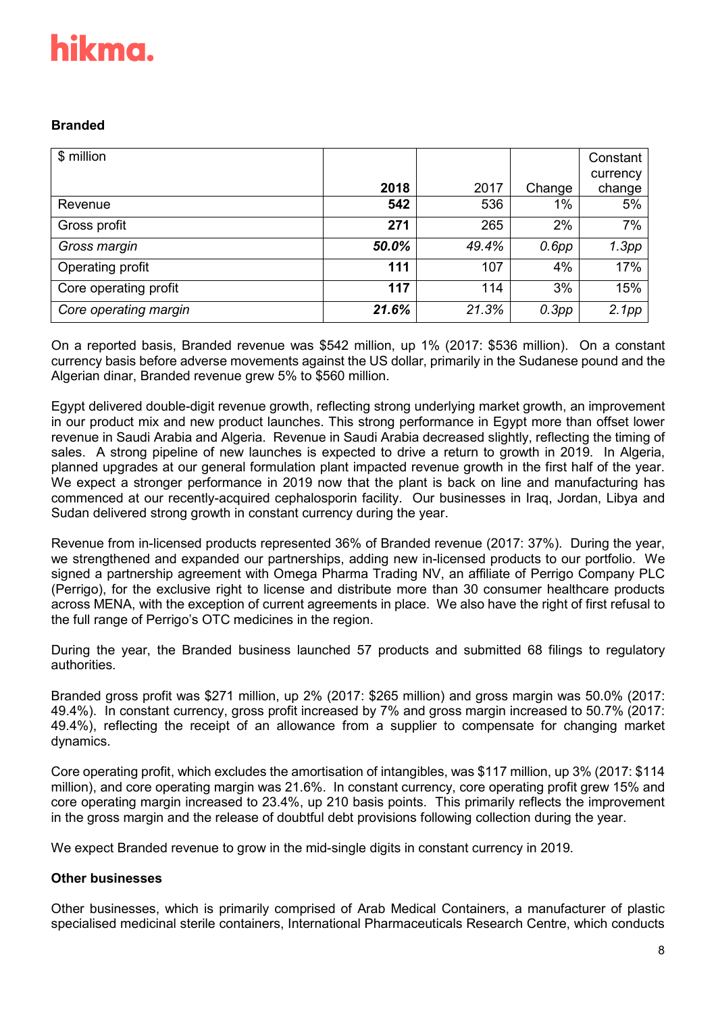# **Branded**

| \$ million            |       |       |          | Constant           |
|-----------------------|-------|-------|----------|--------------------|
|                       | 2018  | 2017  | Change   | currency<br>change |
| Revenue               | 542   | 536   | $1\%$    | 5%                 |
| Gross profit          | 271   | 265   | 2%       | 7%                 |
| Gross margin          | 50.0% | 49.4% | $0.6$ pp | 1.3pp              |
| Operating profit      | 111   | 107   | 4%       | 17%                |
| Core operating profit | 117   | 114   | 3%       | 15%                |
| Core operating margin | 21.6% | 21.3% | 0.3pp    | 2.1pp              |

On a reported basis, Branded revenue was \$542 million, up 1% (2017: \$536 million). On a constant currency basis before adverse movements against the US dollar, primarily in the Sudanese pound and the Algerian dinar, Branded revenue grew 5% to \$560 million.

Egypt delivered double-digit revenue growth, reflecting strong underlying market growth, an improvement in our product mix and new product launches. This strong performance in Egypt more than offset lower revenue in Saudi Arabia and Algeria. Revenue in Saudi Arabia decreased slightly, reflecting the timing of sales. A strong pipeline of new launches is expected to drive a return to growth in 2019. In Algeria, planned upgrades at our general formulation plant impacted revenue growth in the first half of the year. We expect a stronger performance in 2019 now that the plant is back on line and manufacturing has commenced at our recently-acquired cephalosporin facility. Our businesses in Iraq, Jordan, Libya and Sudan delivered strong growth in constant currency during the year.

Revenue from in-licensed products represented 36% of Branded revenue (2017: 37%). During the year, we strengthened and expanded our partnerships, adding new in-licensed products to our portfolio. We signed a partnership agreement with Omega Pharma Trading NV, an affiliate of Perrigo Company PLC (Perrigo), for the exclusive right to license and distribute more than 30 consumer healthcare products across MENA, with the exception of current agreements in place. We also have the right of first refusal to the full range of Perrigo's OTC medicines in the region.

During the year, the Branded business launched 57 products and submitted 68 filings to regulatory authorities.

Branded gross profit was \$271 million, up 2% (2017: \$265 million) and gross margin was 50.0% (2017: 49.4%). In constant currency, gross profit increased by 7% and gross margin increased to 50.7% (2017: 49.4%), reflecting the receipt of an allowance from a supplier to compensate for changing market dynamics.

Core operating profit, which excludes the amortisation of intangibles, was \$117 million, up 3% (2017: \$114 million), and core operating margin was 21.6%. In constant currency, core operating profit grew 15% and core operating margin increased to 23.4%, up 210 basis points. This primarily reflects the improvement in the gross margin and the release of doubtful debt provisions following collection during the year.

We expect Branded revenue to grow in the mid-single digits in constant currency in 2019.

# **Other businesses**

Other businesses, which is primarily comprised of Arab Medical Containers, a manufacturer of plastic specialised medicinal sterile containers, International Pharmaceuticals Research Centre, which conducts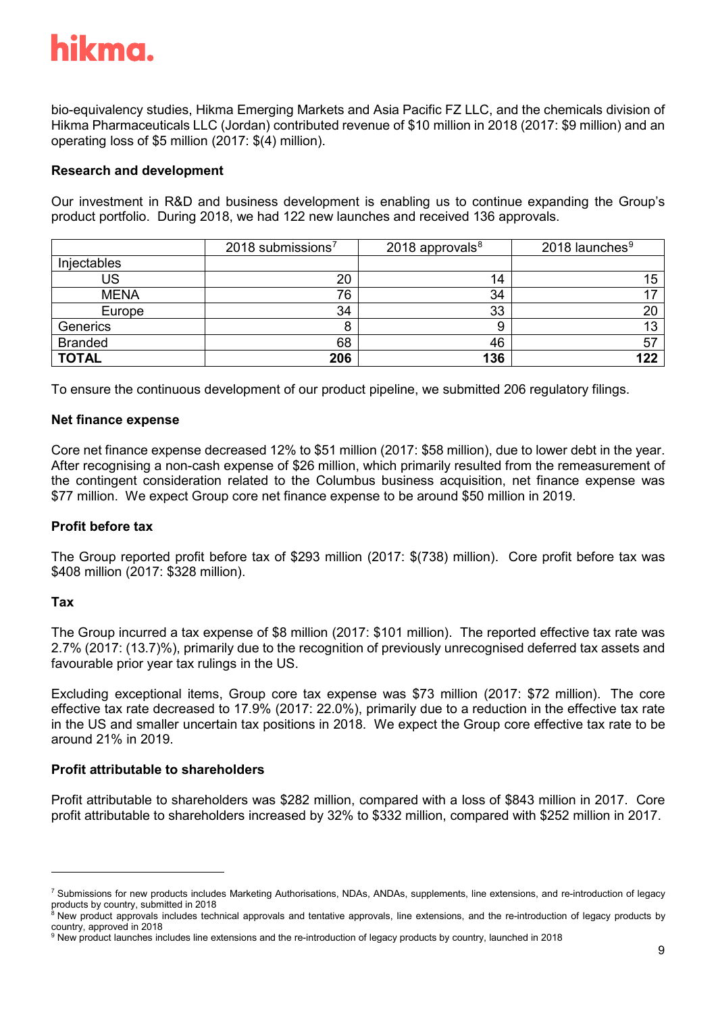bio-equivalency studies, Hikma Emerging Markets and Asia Pacific FZ LLC, and the chemicals division of Hikma Pharmaceuticals LLC (Jordan) contributed revenue of \$10 million in 2018 (2017: \$9 million) and an operating loss of \$5 million (2017: \$(4) million).

# **Research and development**

Our investment in R&D and business development is enabling us to continue expanding the Group's product portfolio. During 2018, we had 122 new launches and received 136 approvals.

|                | 2018 submissions $7$ | 2018 approvals $8$ | 2018 launches <sup>9</sup> |
|----------------|----------------------|--------------------|----------------------------|
| Injectables    |                      |                    |                            |
| US             | 20                   | 14                 | 15                         |
| <b>MENA</b>    | 76                   | 34                 |                            |
| Europe         | 34                   | 33                 | 20                         |
| Generics       | 8                    |                    | 13                         |
| <b>Branded</b> | 68                   | 46                 | 57                         |
| <b>TOTAL</b>   | 206                  | 136                | 122                        |

To ensure the continuous development of our product pipeline, we submitted 206 regulatory filings.

# **Net finance expense**

Core net finance expense decreased 12% to \$51 million (2017: \$58 million), due to lower debt in the year. After recognising a non-cash expense of \$26 million, which primarily resulted from the remeasurement of the contingent consideration related to the Columbus business acquisition, net finance expense was \$77 million. We expect Group core net finance expense to be around \$50 million in 2019.

# **Profit before tax**

The Group reported profit before tax of \$293 million (2017: \$(738) million). Core profit before tax was \$408 million (2017: \$328 million).

### **Tax**

-

The Group incurred a tax expense of \$8 million (2017: \$101 million). The reported effective tax rate was 2.7% (2017: (13.7)%), primarily due to the recognition of previously unrecognised deferred tax assets and favourable prior year tax rulings in the US.

Excluding exceptional items, Group core tax expense was \$73 million (2017: \$72 million). The core effective tax rate decreased to 17.9% (2017: 22.0%), primarily due to a reduction in the effective tax rate in the US and smaller uncertain tax positions in 2018. We expect the Group core effective tax rate to be around 21% in 2019.

### **Profit attributable to shareholders**

Profit attributable to shareholders was \$282 million, compared with a loss of \$843 million in 2017. Core profit attributable to shareholders increased by 32% to \$332 million, compared with \$252 million in 2017.

<span id="page-8-0"></span><sup>&</sup>lt;sup>7</sup> Submissions for new products includes Marketing Authorisations, NDAs, ANDAs, supplements, line extensions, and re-introduction of legacy products by country, submitted in 2018<br><sup>8</sup> New product approvals includes technical approvals and tentative approvals, line extensions, and the re-introduction of legacy products by

<span id="page-8-1"></span>country, approved in 2018<br><sup>9</sup> New product launches includes line extensions and the re-introduction of legacy products by country, launched in 2018

<span id="page-8-2"></span>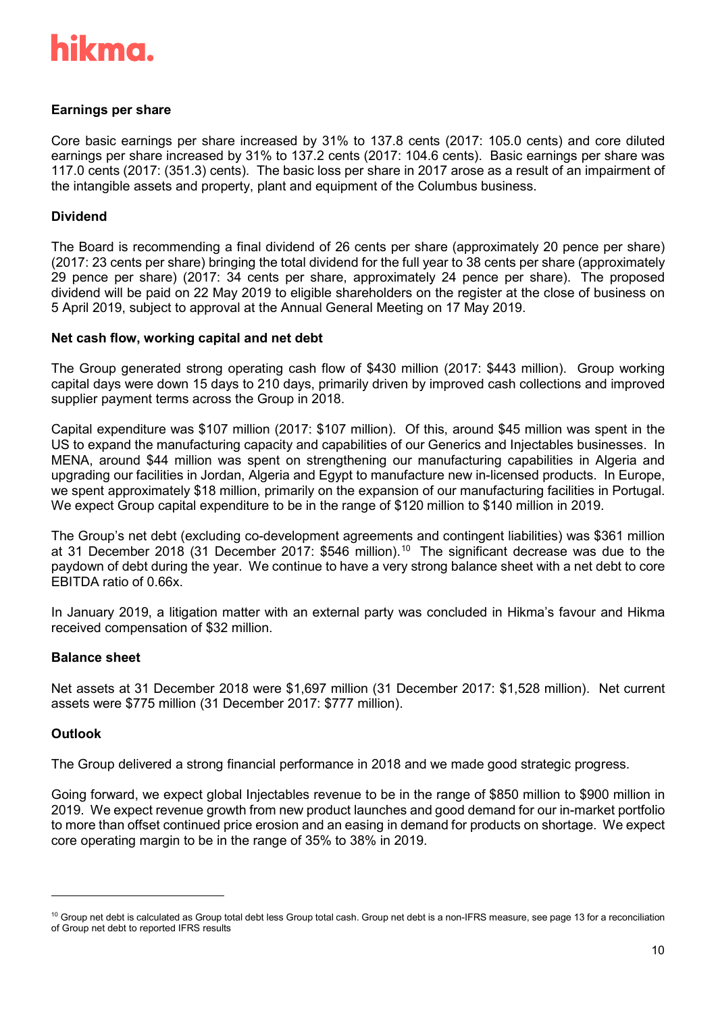# **Earnings per share**

Core basic earnings per share increased by 31% to 137.8 cents (2017: 105.0 cents) and core diluted earnings per share increased by 31% to 137.2 cents (2017: 104.6 cents). Basic earnings per share was 117.0 cents (2017: (351.3) cents). The basic loss per share in 2017 arose as a result of an impairment of the intangible assets and property, plant and equipment of the Columbus business.

# **Dividend**

The Board is recommending a final dividend of 26 cents per share (approximately 20 pence per share) (2017: 23 cents per share) bringing the total dividend for the full year to 38 cents per share (approximately 29 pence per share) (2017: 34 cents per share, approximately 24 pence per share). The proposed dividend will be paid on 22 May 2019 to eligible shareholders on the register at the close of business on 5 April 2019, subject to approval at the Annual General Meeting on 17 May 2019.

# **Net cash flow, working capital and net debt**

The Group generated strong operating cash flow of \$430 million (2017: \$443 million). Group working capital days were down 15 days to 210 days, primarily driven by improved cash collections and improved supplier payment terms across the Group in 2018.

Capital expenditure was \$107 million (2017: \$107 million). Of this, around \$45 million was spent in the US to expand the manufacturing capacity and capabilities of our Generics and Injectables businesses. In MENA, around \$44 million was spent on strengthening our manufacturing capabilities in Algeria and upgrading our facilities in Jordan, Algeria and Egypt to manufacture new in-licensed products. In Europe, we spent approximately \$18 million, primarily on the expansion of our manufacturing facilities in Portugal. We expect Group capital expenditure to be in the range of \$120 million to \$140 million in 2019.

The Group's net debt (excluding co-development agreements and contingent liabilities) was \$361 million at 31 December 2018 (31 December 2017: \$546 million). [10](#page-9-0) The significant decrease was due to the paydown of debt during the year. We continue to have a very strong balance sheet with a net debt to core EBITDA ratio of 0.66x.

In January 2019, a litigation matter with an external party was concluded in Hikma's favour and Hikma received compensation of \$32 million.

# **Balance sheet**

Net assets at 31 December 2018 were \$1,697 million (31 December 2017: \$1,528 million). Net current assets were \$775 million (31 December 2017: \$777 million).

### **Outlook**

-

The Group delivered a strong financial performance in 2018 and we made good strategic progress.

Going forward, we expect global Injectables revenue to be in the range of \$850 million to \$900 million in 2019. We expect revenue growth from new product launches and good demand for our in-market portfolio to more than offset continued price erosion and an easing in demand for products on shortage. We expect core operating margin to be in the range of 35% to 38% in 2019.

<span id="page-9-0"></span><sup>&</sup>lt;sup>10</sup> Group net debt is calculated as Group total debt less Group total cash. Group net debt is a non-IFRS measure, see page 13 for a reconciliation of Group net debt to reported IFRS results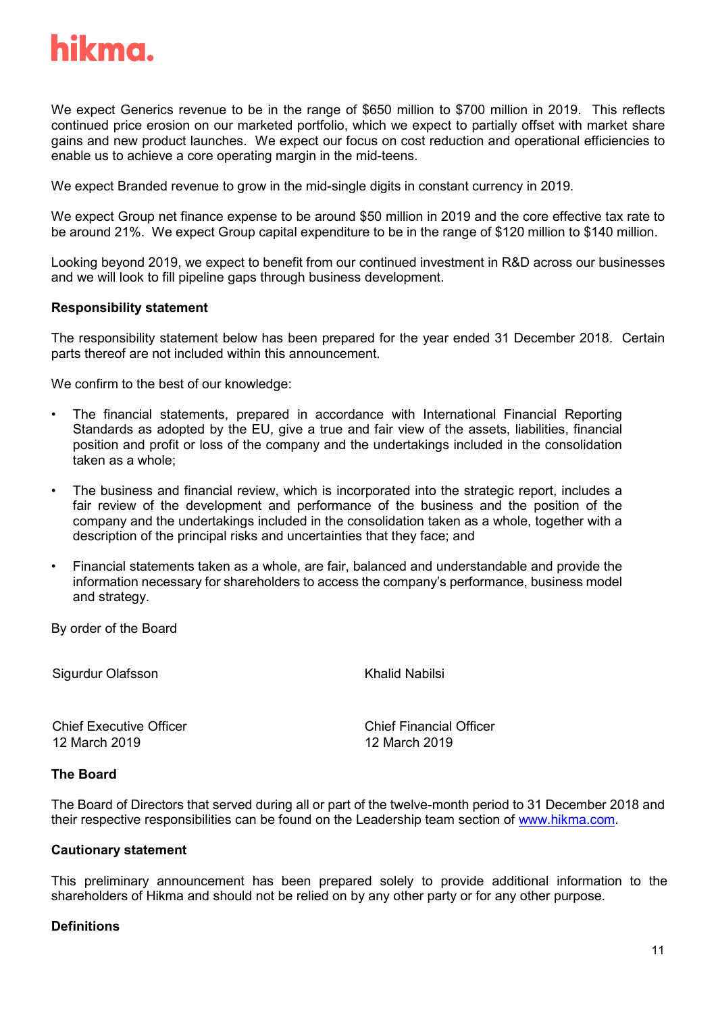

We expect Generics revenue to be in the range of \$650 million to \$700 million in 2019. This reflects continued price erosion on our marketed portfolio, which we expect to partially offset with market share gains and new product launches. We expect our focus on cost reduction and operational efficiencies to enable us to achieve a core operating margin in the mid-teens.

We expect Branded revenue to grow in the mid-single digits in constant currency in 2019.

We expect Group net finance expense to be around \$50 million in 2019 and the core effective tax rate to be around 21%. We expect Group capital expenditure to be in the range of \$120 million to \$140 million.

Looking beyond 2019, we expect to benefit from our continued investment in R&D across our businesses and we will look to fill pipeline gaps through business development.

#### **Responsibility statement**

The responsibility statement below has been prepared for the year ended 31 December 2018. Certain parts thereof are not included within this announcement.

We confirm to the best of our knowledge:

- The financial statements, prepared in accordance with International Financial Reporting Standards as adopted by the EU, give a true and fair view of the assets, liabilities, financial position and profit or loss of the company and the undertakings included in the consolidation taken as a whole;
- The business and financial review, which is incorporated into the strategic report, includes a fair review of the development and performance of the business and the position of the company and the undertakings included in the consolidation taken as a whole, together with a description of the principal risks and uncertainties that they face; and
- Financial statements taken as a whole, are fair, balanced and understandable and provide the information necessary for shareholders to access the company's performance, business model and strategy.

By order of the Board

Sigurdur Olafsson

Khalid Nabilsi

Chief Executive Officer 12 March 2019

Chief Financial Officer 12 March 2019

### **The Board**

The Board of Directors that served during all or part of the twelve-month period to 31 December 2018 and their respective responsibilities can be found on the Leadership team section of [www.hikma.com.](http://www.hikma.com/)

#### **Cautionary statement**

This preliminary announcement has been prepared solely to provide additional information to the shareholders of Hikma and should not be relied on by any other party or for any other purpose.

### **Definitions**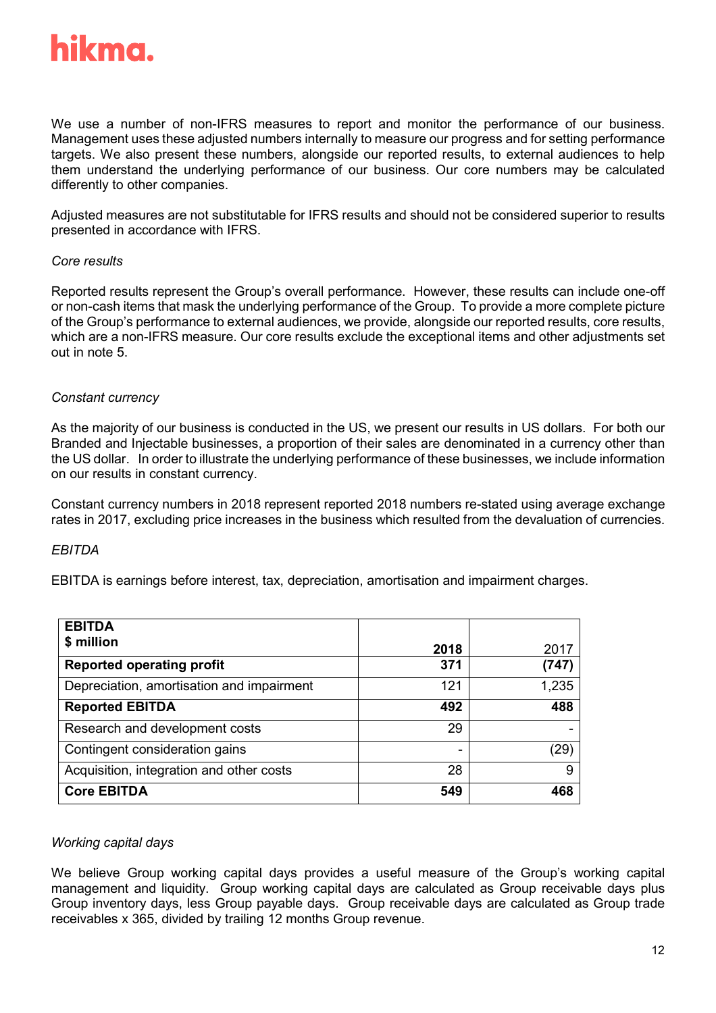

We use a number of non-IFRS measures to report and monitor the performance of our business. Management uses these adjusted numbers internally to measure our progress and for setting performance targets. We also present these numbers, alongside our reported results, to external audiences to help them understand the underlying performance of our business. Our core numbers may be calculated differently to other companies.

Adjusted measures are not substitutable for IFRS results and should not be considered superior to results presented in accordance with IFRS.

### *Core results*

Reported results represent the Group's overall performance. However, these results can include one-off or non-cash items that mask the underlying performance of the Group. To provide a more complete picture of the Group's performance to external audiences, we provide, alongside our reported results, core results, which are a non-IFRS measure. Our core results exclude the exceptional items and other adjustments set out in note 5.

# *Constant currency*

As the majority of our business is conducted in the US, we present our results in US dollars. For both our Branded and Injectable businesses, a proportion of their sales are denominated in a currency other than the US dollar. In order to illustrate the underlying performance of these businesses, we include information on our results in constant currency.

Constant currency numbers in 2018 represent reported 2018 numbers re-stated using average exchange rates in 2017, excluding price increases in the business which resulted from the devaluation of currencies.

### *EBITDA*

EBITDA is earnings before interest, tax, depreciation, amortisation and impairment charges.

| <b>EBITDA</b>                             |      |       |
|-------------------------------------------|------|-------|
| \$ million                                | 2018 | 2017  |
| <b>Reported operating profit</b>          | 371  | (747) |
| Depreciation, amortisation and impairment | 121  | 1,235 |
| <b>Reported EBITDA</b>                    | 492  | 488   |
| Research and development costs            | 29   |       |
| Contingent consideration gains            |      | (29)  |
| Acquisition, integration and other costs  | 28   | 9     |
| <b>Core EBITDA</b>                        | 549  | 468   |

### *Working capital days*

We believe Group working capital days provides a useful measure of the Group's working capital management and liquidity. Group working capital days are calculated as Group receivable days plus Group inventory days, less Group payable days. Group receivable days are calculated as Group trade receivables x 365, divided by trailing 12 months Group revenue.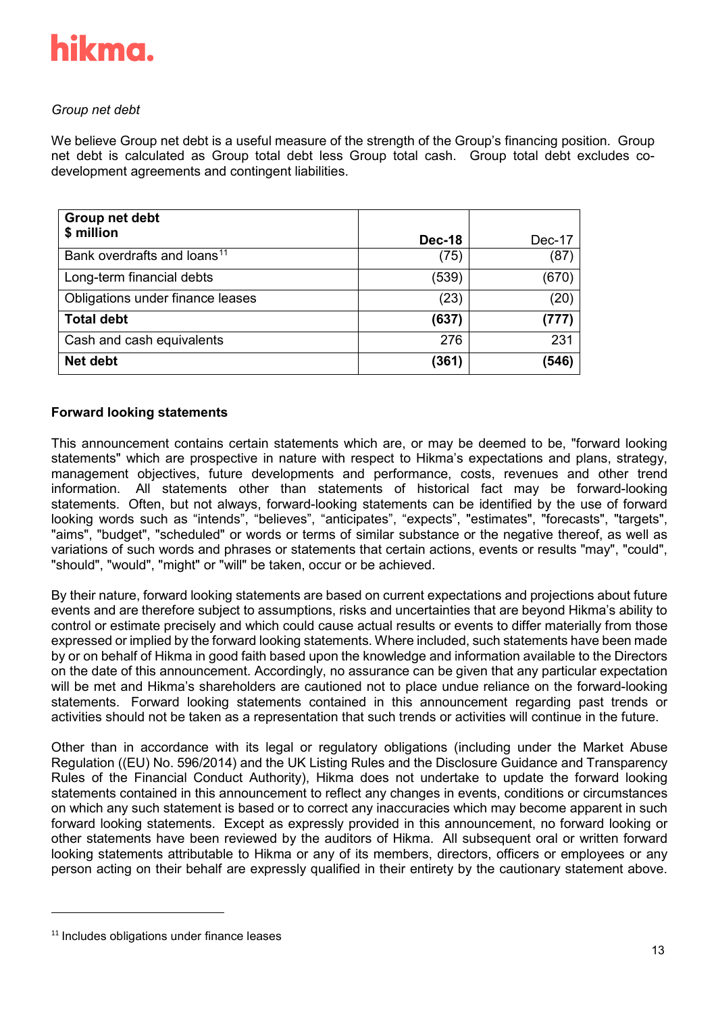

# *Group net debt*

We believe Group net debt is a useful measure of the strength of the Group's financing position. Group net debt is calculated as Group total debt less Group total cash. Group total debt excludes codevelopment agreements and contingent liabilities.

| Group net debt                          |               |        |
|-----------------------------------------|---------------|--------|
| \$ million                              | <b>Dec-18</b> | Dec-17 |
| Bank overdrafts and loans <sup>11</sup> | (75)          | (87)   |
| Long-term financial debts               | (539)         | (670)  |
| Obligations under finance leases        | (23)          | (20)   |
| <b>Total debt</b>                       | (637)         | (777)  |
| Cash and cash equivalents               | 276           | 231    |
| Net debt                                | (361)         | (546)  |

# **Forward looking statements**

This announcement contains certain statements which are, or may be deemed to be, "forward looking statements" which are prospective in nature with respect to Hikma's expectations and plans, strategy, management objectives, future developments and performance, costs, revenues and other trend information. All statements other than statements of historical fact may be forward-looking statements. Often, but not always, forward-looking statements can be identified by the use of forward looking words such as "intends", "believes", "anticipates", "expects", "estimates", "forecasts", "targets", "aims", "budget", "scheduled" or words or terms of similar substance or the negative thereof, as well as variations of such words and phrases or statements that certain actions, events or results "may", "could", "should", "would", "might" or "will" be taken, occur or be achieved.

By their nature, forward looking statements are based on current expectations and projections about future events and are therefore subject to assumptions, risks and uncertainties that are beyond Hikma's ability to control or estimate precisely and which could cause actual results or events to differ materially from those expressed or implied by the forward looking statements. Where included, such statements have been made by or on behalf of Hikma in good faith based upon the knowledge and information available to the Directors on the date of this announcement. Accordingly, no assurance can be given that any particular expectation will be met and Hikma's shareholders are cautioned not to place undue reliance on the forward-looking statements. Forward looking statements contained in this announcement regarding past trends or activities should not be taken as a representation that such trends or activities will continue in the future.

Other than in accordance with its legal or regulatory obligations (including under the Market Abuse Regulation ((EU) No. 596/2014) and the UK Listing Rules and the Disclosure Guidance and Transparency Rules of the Financial Conduct Authority), Hikma does not undertake to update the forward looking statements contained in this announcement to reflect any changes in events, conditions or circumstances on which any such statement is based or to correct any inaccuracies which may become apparent in such forward looking statements. Except as expressly provided in this announcement, no forward looking or other statements have been reviewed by the auditors of Hikma. All subsequent oral or written forward looking statements attributable to Hikma or any of its members, directors, officers or employees or any person acting on their behalf are expressly qualified in their entirety by the cautionary statement above.

<span id="page-12-0"></span><sup>&</sup>lt;sup>11</sup> Includes obligations under finance leases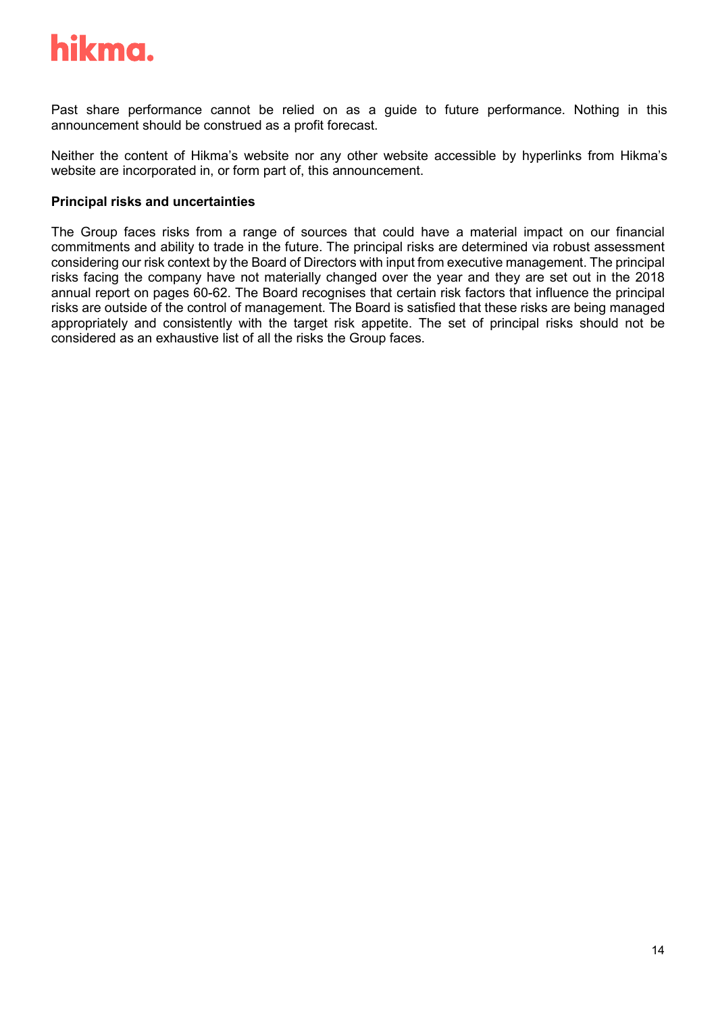Past share performance cannot be relied on as a guide to future performance. Nothing in this announcement should be construed as a profit forecast.

Neither the content of Hikma's website nor any other website accessible by hyperlinks from Hikma's website are incorporated in, or form part of, this announcement.

# **Principal risks and uncertainties**

The Group faces risks from a range of sources that could have a material impact on our financial commitments and ability to trade in the future. The principal risks are determined via robust assessment considering our risk context by the Board of Directors with input from executive management. The principal risks facing the company have not materially changed over the year and they are set out in the 2018 annual report on pages 60-62. The Board recognises that certain risk factors that influence the principal risks are outside of the control of management. The Board is satisfied that these risks are being managed appropriately and consistently with the target risk appetite. The set of principal risks should not be considered as an exhaustive list of all the risks the Group faces.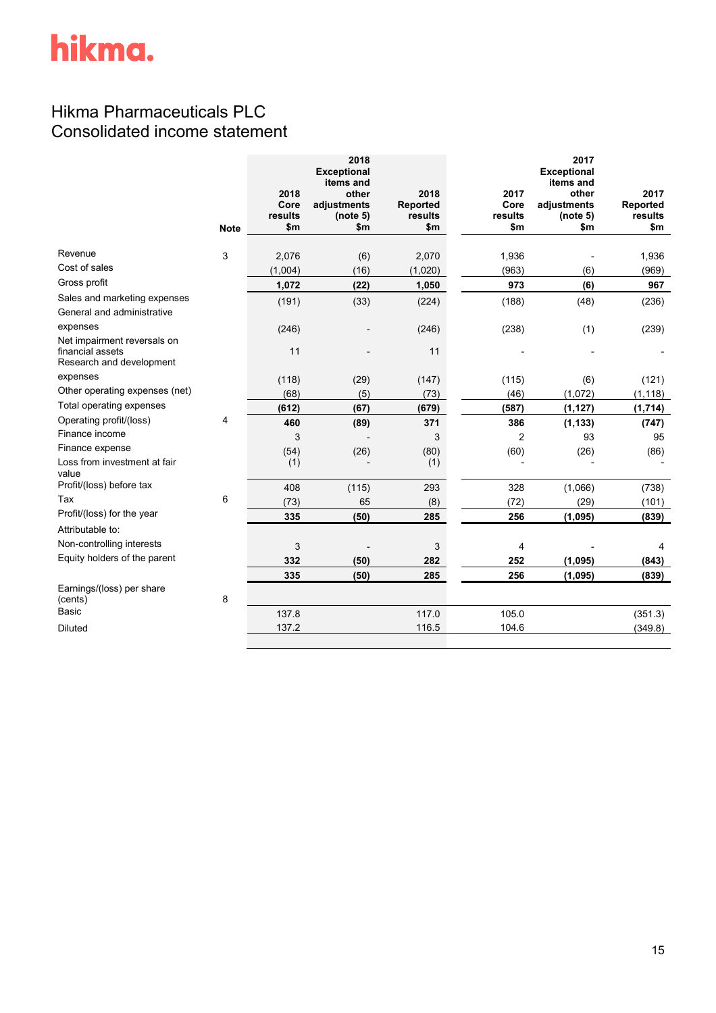# Hikma Pharmaceuticals PLC Consolidated income statement

|                                                            | 2018    | 2018<br><b>Exceptional</b><br>items and<br>other | 2018     | 2017           | 2017<br><b>Exceptional</b><br>items and<br>other | 2017     |
|------------------------------------------------------------|---------|--------------------------------------------------|----------|----------------|--------------------------------------------------|----------|
|                                                            | Core    | adjustments                                      | Reported | Core           | adjustments                                      | Reported |
|                                                            | results | (note 5)                                         | results  | results        | (note 5)                                         | results  |
| <b>Note</b>                                                | \$m\$   | \$m\$                                            | \$m      | \$m            | \$m                                              | \$m      |
| Revenue<br>3                                               | 2,076   | (6)                                              | 2,070    | 1,936          |                                                  | 1,936    |
| Cost of sales                                              | (1,004) | (16)                                             | (1,020)  | (963)          | (6)                                              | (969)    |
| Gross profit                                               | 1,072   | (22)                                             | 1,050    | 973            | (6)                                              | 967      |
| Sales and marketing expenses<br>General and administrative | (191)   | (33)                                             | (224)    | (188)          | (48)                                             | (236)    |
| expenses<br>Net impairment reversals on                    | (246)   |                                                  | (246)    | (238)          | (1)                                              | (239)    |
| financial assets<br>Research and development               | 11      |                                                  | 11       |                |                                                  |          |
| expenses                                                   | (118)   | (29)                                             | (147)    | (115)          | (6)                                              | (121)    |
| Other operating expenses (net)                             | (68)    | (5)                                              | (73)     | (46)           | (1,072)                                          | (1, 118) |
| Total operating expenses                                   | (612)   | (67)                                             | (679)    | (587)          | (1, 127)                                         | (1,714)  |
| Operating profit/(loss)<br>4                               | 460     | (89)                                             | 371      | 386            | (1, 133)                                         | (747)    |
| Finance income                                             | 3       |                                                  | 3        | 2              | 93                                               | 95       |
| Finance expense                                            | (54)    | (26)                                             | (80)     | (60)           | (26)                                             | (86)     |
| Loss from investment at fair<br>value                      | (1)     |                                                  | (1)      |                |                                                  |          |
| Profit/(loss) before tax                                   | 408     | (115)                                            | 293      | 328            | (1,066)                                          | (738)    |
| 6<br>Tax                                                   | (73)    | 65                                               | (8)      | (72)           | (29)                                             | (101)    |
| Profit/(loss) for the year                                 | 335     | (50)                                             | 285      | 256            | (1,095)                                          | (839)    |
| Attributable to:                                           |         |                                                  |          |                |                                                  |          |
| Non-controlling interests                                  | 3       |                                                  | 3        | $\overline{4}$ |                                                  | 4        |
| Equity holders of the parent                               | 332     | (50)                                             | 282      | 252            | (1,095)                                          | (843)    |
|                                                            | 335     | (50)                                             | 285      | 256            | (1,095)                                          | (839)    |
| Earnings/(loss) per share<br>8<br>(cents)                  |         |                                                  |          |                |                                                  |          |
| <b>Basic</b>                                               | 137.8   |                                                  | 117.0    | 105.0          |                                                  | (351.3)  |
| <b>Diluted</b>                                             | 137.2   |                                                  | 116.5    | 104.6          |                                                  | (349.8)  |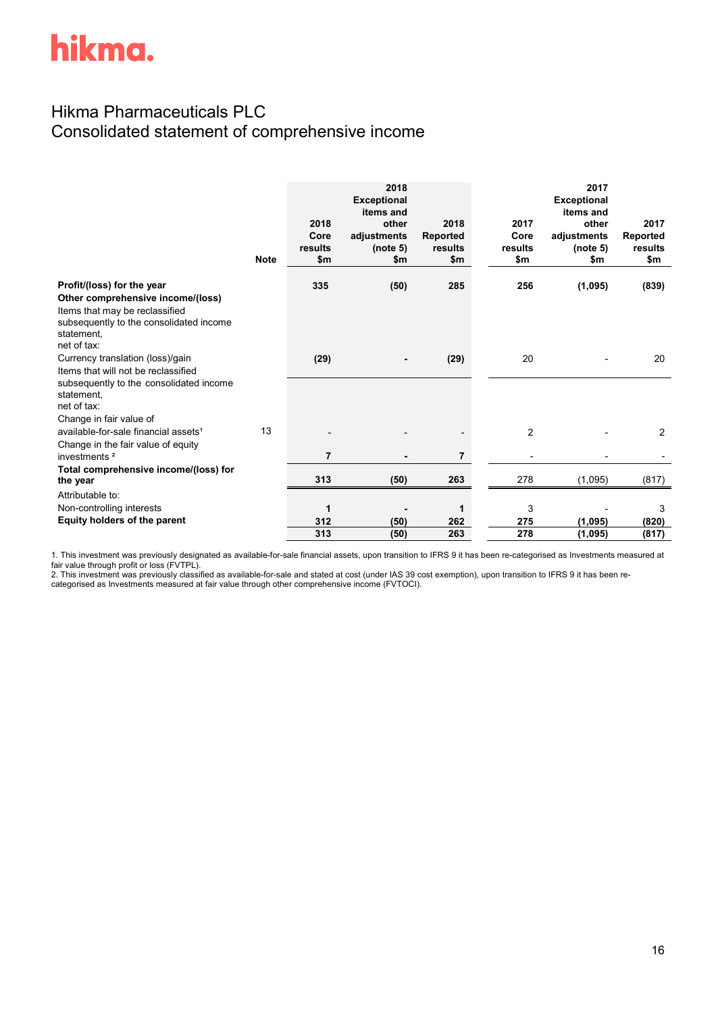# Hikma Pharmaceuticals PLC Consolidated statement of comprehensive income

|                                                                                                                                                                           | <b>Note</b> | 2018<br>Core<br>results<br>\$m | 2018<br><b>Exceptional</b><br>items and<br>other<br>adjustments<br>(note 5)<br>\$m | 2018<br>Reported<br>results<br>\$m | 2017<br>Core<br>results<br>\$m | 2017<br><b>Exceptional</b><br>items and<br>other<br>adjustments<br>(note 5)<br>\$m | 2017<br>Reported<br>results<br>\$m |
|---------------------------------------------------------------------------------------------------------------------------------------------------------------------------|-------------|--------------------------------|------------------------------------------------------------------------------------|------------------------------------|--------------------------------|------------------------------------------------------------------------------------|------------------------------------|
| Profit/(loss) for the year<br>Other comprehensive income/(loss)<br>Items that may be reclassified<br>subsequently to the consolidated income<br>statement.<br>net of tax: |             | 335                            | (50)                                                                               | 285                                | 256                            | (1,095)                                                                            | (839)                              |
| Currency translation (loss)/gain<br>Items that will not be reclassified<br>subsequently to the consolidated income<br>statement.<br>net of tax:                           |             | (29)                           |                                                                                    | (29)                               | 20                             |                                                                                    | 20                                 |
| Change in fair value of                                                                                                                                                   |             |                                |                                                                                    |                                    |                                |                                                                                    |                                    |
| available-for-sale financial assets <sup>1</sup><br>Change in the fair value of equity                                                                                    | 13          |                                |                                                                                    |                                    | $\overline{2}$                 |                                                                                    | 2                                  |
| investments <sup>2</sup>                                                                                                                                                  |             | 7                              |                                                                                    | 7                                  |                                |                                                                                    |                                    |
| Total comprehensive income/(loss) for<br>the year                                                                                                                         |             | 313                            | (50)                                                                               | 263                                | 278                            | (1,095)                                                                            | (817)                              |
| Attributable to:                                                                                                                                                          |             |                                |                                                                                    |                                    |                                |                                                                                    |                                    |
| Non-controlling interests                                                                                                                                                 |             | 1                              |                                                                                    | 1                                  | 3                              |                                                                                    | 3                                  |
| Equity holders of the parent                                                                                                                                              |             | 312                            | (50)                                                                               | 262                                | 275                            | (1,095)                                                                            | (820)                              |
|                                                                                                                                                                           |             | 313                            | (50)                                                                               | 263                                | 278                            | (1,095)                                                                            | (817)                              |

1. This investment was previously designated as available-for-sale financial assets, upon transition to IFRS 9 it has been re-categorised as Investments measured at fair value through profit or loss (FVTPL).

2. This investment was previously classified as available-for-sale and stated at cost (under IAS 39 cost exemption), upon transition to IFRS 9 it has been recategorised as Investments measured at fair value through other comprehensive income (FVTOCI).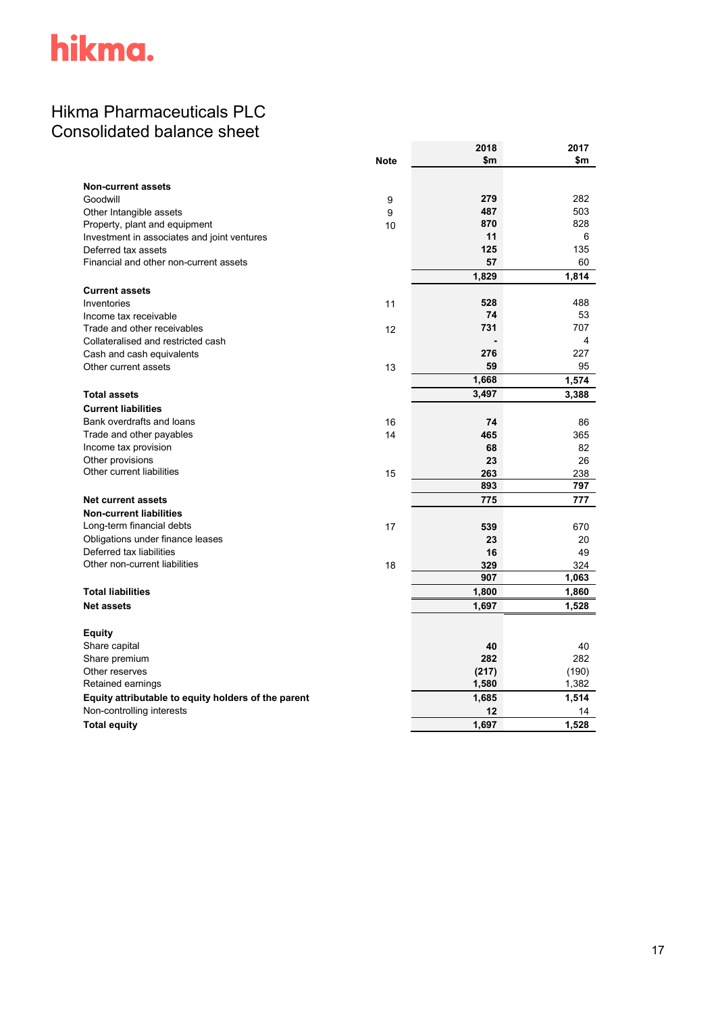# Hikma Pharmaceuticals PLC Consolidated balance sheet

|                                                     |             | 2018  | 2017  |
|-----------------------------------------------------|-------------|-------|-------|
|                                                     | <b>Note</b> | \$m   | \$m   |
|                                                     |             |       |       |
| <b>Non-current assets</b>                           |             |       |       |
| Goodwill                                            | 9           | 279   | 282   |
| Other Intangible assets                             | 9           | 487   | 503   |
| Property, plant and equipment                       | 10          | 870   | 828   |
| Investment in associates and joint ventures         |             | 11    | 6     |
| Deferred tax assets                                 |             | 125   | 135   |
| Financial and other non-current assets              |             | 57    | 60    |
|                                                     |             | 1,829 | 1,814 |
| <b>Current assets</b>                               |             |       |       |
| Inventories                                         | 11          | 528   | 488   |
| Income tax receivable                               |             | 74    | 53    |
| Trade and other receivables                         | 12          | 731   | 707   |
| Collateralised and restricted cash                  |             |       | 4     |
| Cash and cash equivalents                           |             | 276   | 227   |
| Other current assets                                | 13          | 59    | 95    |
|                                                     |             | 1,668 | 1,574 |
| <b>Total assets</b>                                 |             | 3,497 | 3,388 |
| <b>Current liabilities</b>                          |             |       |       |
| Bank overdrafts and loans                           | 16          | 74    | 86    |
| Trade and other payables                            | 14          | 465   | 365   |
| Income tax provision                                |             | 68    | 82    |
| Other provisions                                    |             | 23    | 26    |
| Other current liabilities                           | 15          | 263   | 238   |
|                                                     |             | 893   | 797   |
| <b>Net current assets</b>                           |             | 775   | 777   |
| <b>Non-current liabilities</b>                      |             |       |       |
| Long-term financial debts                           | 17          | 539   | 670   |
| Obligations under finance leases                    |             | 23    | 20    |
| Deferred tax liabilities                            |             | 16    | 49    |
| Other non-current liabilities                       | 18          | 329   | 324   |
|                                                     |             | 907   | 1,063 |
| <b>Total liabilities</b>                            |             | 1,800 | 1,860 |
| <b>Net assets</b>                                   |             | 1,697 | 1,528 |
| <b>Equity</b>                                       |             |       |       |
| Share capital                                       |             | 40    | 40    |
| Share premium                                       |             | 282   | 282   |
| Other reserves                                      |             | (217) | (190) |
| Retained earnings                                   |             | 1,580 | 1,382 |
| Equity attributable to equity holders of the parent |             | 1,685 | 1,514 |
| Non-controlling interests                           |             | 12    | 14    |
| <b>Total equity</b>                                 |             | 1,697 | 1,528 |
|                                                     |             |       |       |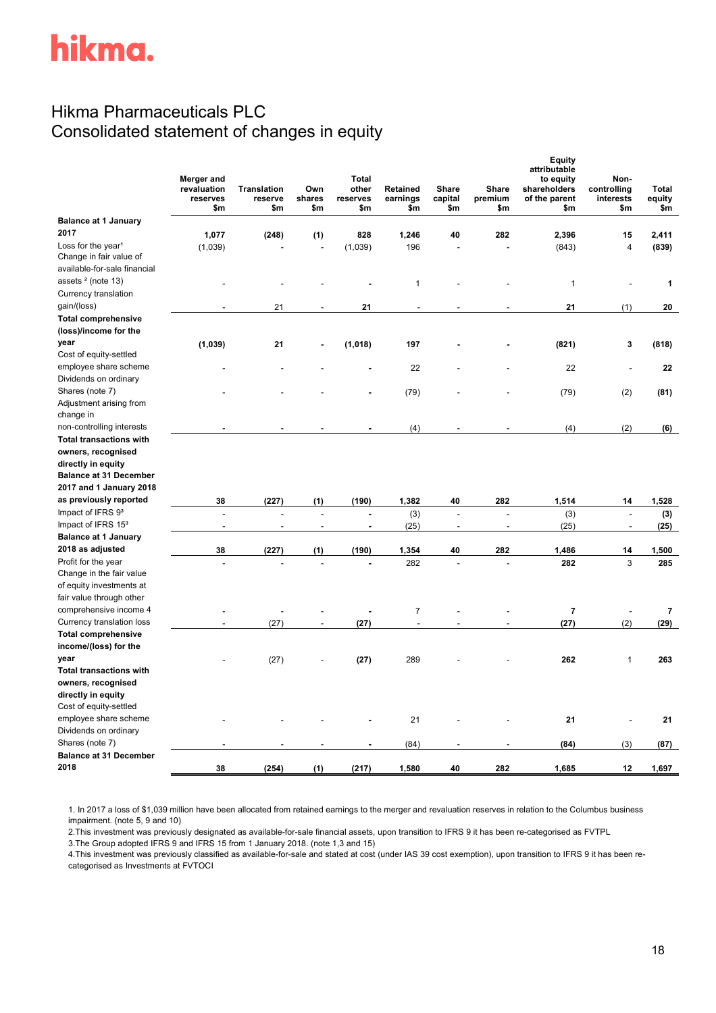# Hikma Pharmaceuticals PLC Consolidated statement of changes in equity

|                                       | Merger and<br>revaluation<br>reserves<br>\$m | <b>Translation</b><br>reserve<br>\$m | Own<br>shares<br>\$m | <b>Total</b><br>other<br>reserves<br>\$m | Retained<br>earnings<br>\$m | Share<br>capital<br>\$m | <b>Share</b><br>premium<br>\$m | Equity<br>attributable<br>to equity<br>shareholders<br>of the parent<br>\$m | Non-<br>controlling<br>interests<br>\$m | <b>Total</b><br>equity<br>\$m |
|---------------------------------------|----------------------------------------------|--------------------------------------|----------------------|------------------------------------------|-----------------------------|-------------------------|--------------------------------|-----------------------------------------------------------------------------|-----------------------------------------|-------------------------------|
| <b>Balance at 1 January</b>           |                                              |                                      |                      |                                          |                             |                         |                                |                                                                             |                                         |                               |
| 2017                                  | 1,077                                        | (248)                                | (1)                  | 828                                      | 1,246                       | 40                      | 282                            | 2,396                                                                       | 15                                      | 2,411                         |
| Loss for the year <sup>1</sup>        | (1,039)                                      |                                      |                      | (1,039)                                  | 196                         |                         |                                | (843)                                                                       | 4                                       | (839)                         |
| Change in fair value of               |                                              |                                      |                      |                                          |                             |                         |                                |                                                                             |                                         |                               |
| available-for-sale financial          |                                              |                                      |                      |                                          |                             |                         |                                |                                                                             |                                         |                               |
| assets <sup>2</sup> (note 13)         |                                              |                                      |                      |                                          | 1                           |                         |                                | $\mathbf{1}$                                                                |                                         | 1                             |
| Currency translation                  |                                              |                                      |                      |                                          |                             |                         |                                |                                                                             |                                         |                               |
| gain/(loss)                           |                                              | 21                                   |                      | 21                                       | L.                          |                         |                                | 21                                                                          | (1)                                     | 20                            |
| <b>Total comprehensive</b>            |                                              |                                      |                      |                                          |                             |                         |                                |                                                                             |                                         |                               |
| (loss)/income for the                 |                                              |                                      |                      |                                          |                             |                         |                                |                                                                             |                                         |                               |
| year                                  | (1,039)                                      | 21                                   |                      | (1,018)                                  | 197                         |                         |                                | (821)                                                                       | 3                                       | (818)                         |
| Cost of equity-settled                |                                              |                                      |                      |                                          |                             |                         |                                |                                                                             |                                         |                               |
| employee share scheme                 |                                              |                                      |                      |                                          | 22                          |                         |                                | 22                                                                          |                                         | 22                            |
| Dividends on ordinary                 |                                              |                                      |                      |                                          |                             |                         |                                |                                                                             |                                         |                               |
| Shares (note 7)                       |                                              |                                      |                      |                                          | (79)                        |                         |                                | (79)                                                                        | (2)                                     | (81)                          |
| Adjustment arising from               |                                              |                                      |                      |                                          |                             |                         |                                |                                                                             |                                         |                               |
| change in                             |                                              |                                      |                      |                                          |                             |                         |                                |                                                                             |                                         |                               |
| non-controlling interests             |                                              |                                      |                      |                                          | (4)                         |                         |                                | (4)                                                                         | (2)                                     | (6)                           |
| <b>Total transactions with</b>        |                                              |                                      |                      |                                          |                             |                         |                                |                                                                             |                                         |                               |
| owners, recognised                    |                                              |                                      |                      |                                          |                             |                         |                                |                                                                             |                                         |                               |
| directly in equity                    |                                              |                                      |                      |                                          |                             |                         |                                |                                                                             |                                         |                               |
| <b>Balance at 31 December</b>         |                                              |                                      |                      |                                          |                             |                         |                                |                                                                             |                                         |                               |
| 2017 and 1 January 2018               |                                              |                                      |                      |                                          |                             |                         |                                |                                                                             |                                         |                               |
| as previously reported                | 38                                           | (227)                                | (1)                  | (190)                                    | 1,382                       | 40                      | 282                            | 1,514                                                                       | 14                                      | 1,528                         |
| Impact of IFRS 93                     | $\overline{a}$                               |                                      |                      |                                          | (3)                         | $\overline{a}$          |                                | (3)                                                                         | $\overline{a}$                          | (3)                           |
| Impact of IFRS 153                    | Ĭ.                                           |                                      |                      |                                          | (25)                        | $\overline{a}$          |                                | (25)                                                                        | ÷,                                      | (25)                          |
| <b>Balance at 1 January</b>           |                                              |                                      |                      |                                          |                             |                         |                                |                                                                             |                                         |                               |
| 2018 as adjusted                      | 38                                           | (227)                                | (1)                  | (190)                                    | 1,354                       | 40                      | 282                            | 1,486                                                                       | 14                                      | 1,500                         |
| Profit for the year                   |                                              |                                      |                      |                                          | 282                         | $\overline{a}$          |                                | 282                                                                         | 3                                       | 285                           |
| Change in the fair value              |                                              |                                      |                      |                                          |                             |                         |                                |                                                                             |                                         |                               |
| of equity investments at              |                                              |                                      |                      |                                          |                             |                         |                                |                                                                             |                                         |                               |
| fair value through other              |                                              |                                      |                      |                                          |                             |                         |                                |                                                                             |                                         |                               |
| comprehensive income 4                |                                              |                                      |                      |                                          | $\overline{7}$              |                         |                                | $\overline{7}$                                                              |                                         | $\overline{\mathbf{r}}$       |
| Currency translation loss             | $\overline{a}$                               | (27)                                 |                      | (27)                                     | $\overline{a}$              |                         |                                | (27)                                                                        | (2)                                     | (29)                          |
| <b>Total comprehensive</b>            |                                              |                                      |                      |                                          |                             |                         |                                |                                                                             |                                         |                               |
| income/(loss) for the                 |                                              |                                      |                      |                                          |                             |                         |                                |                                                                             |                                         |                               |
| year                                  |                                              | (27)                                 |                      | (27)                                     | 289                         |                         |                                | 262                                                                         | 1                                       | 263                           |
| <b>Total transactions with</b>        |                                              |                                      |                      |                                          |                             |                         |                                |                                                                             |                                         |                               |
| owners, recognised                    |                                              |                                      |                      |                                          |                             |                         |                                |                                                                             |                                         |                               |
| directly in equity                    |                                              |                                      |                      |                                          |                             |                         |                                |                                                                             |                                         |                               |
| Cost of equity-settled                |                                              |                                      |                      |                                          |                             |                         |                                |                                                                             |                                         |                               |
| employee share scheme                 |                                              |                                      |                      |                                          | 21                          |                         |                                | 21                                                                          |                                         | 21                            |
| Dividends on ordinary                 |                                              |                                      |                      |                                          |                             |                         |                                |                                                                             |                                         |                               |
| Shares (note 7)                       |                                              |                                      |                      |                                          | (84)                        |                         |                                | (84)                                                                        | (3)                                     | (87)                          |
| <b>Balance at 31 December</b><br>2018 |                                              |                                      |                      |                                          |                             |                         |                                |                                                                             |                                         |                               |
|                                       | 38                                           | (254)                                | (1)                  | (217)                                    | 1,580                       | 40                      | 282                            | 1,685                                                                       | 12                                      | 1,697                         |

1. In 2017 a loss of \$1,039 million have been allocated from retained earnings to the merger and revaluation reserves in relation to the Columbus business impairment. (note 5, 9 and 10)

2.This investment was previously designated as available-for-sale financial assets, upon transition to IFRS 9 it has been re-categorised as FVTPL

3.The Group adopted IFRS 9 and IFRS 15 from 1 January 2018. (note 1,3 and 15)

4.This investment was previously classified as available-for-sale and stated at cost (under IAS 39 cost exemption), upon transition to IFRS 9 it has been recategorised as Investments at FVTOCI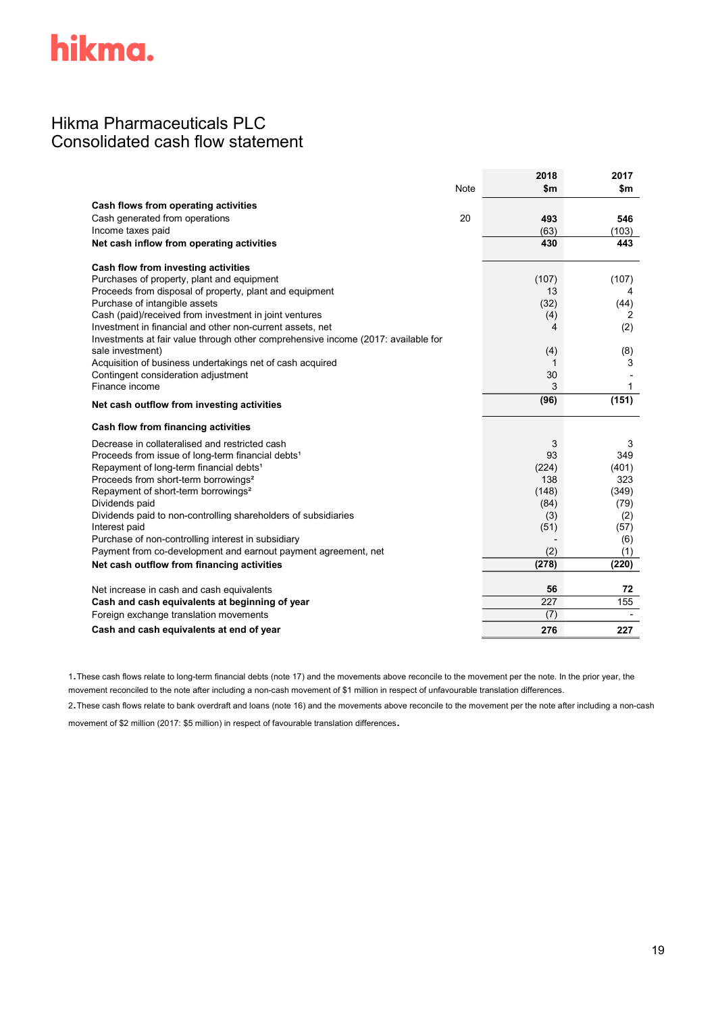# Hikma Pharmaceuticals PLC Consolidated cash flow statement

|                                                                                   |      | 2018  | 2017  |
|-----------------------------------------------------------------------------------|------|-------|-------|
|                                                                                   | Note | \$m   | \$m   |
| Cash flows from operating activities                                              |      |       |       |
| Cash generated from operations                                                    | 20   | 493   | 546   |
| Income taxes paid                                                                 |      | (63)  | (103) |
| Net cash inflow from operating activities                                         |      | 430   | 443   |
| Cash flow from investing activities                                               |      |       |       |
| Purchases of property, plant and equipment                                        |      | (107) | (107) |
| Proceeds from disposal of property, plant and equipment                           |      | 13    | 4     |
| Purchase of intangible assets                                                     |      | (32)  | (44)  |
| Cash (paid)/received from investment in joint ventures                            |      | (4)   | 2     |
| Investment in financial and other non-current assets, net                         |      | 4     | (2)   |
| Investments at fair value through other comprehensive income (2017: available for |      |       |       |
| sale investment)                                                                  |      | (4)   | (8)   |
| Acquisition of business undertakings net of cash acquired                         |      | 1     | 3     |
| Contingent consideration adjustment                                               |      | 30    |       |
| Finance income                                                                    |      | 3     | 1     |
| Net cash outflow from investing activities                                        |      | (96)  | (151) |
| Cash flow from financing activities                                               |      |       |       |
| Decrease in collateralised and restricted cash                                    |      | 3     | 3     |
| Proceeds from issue of long-term financial debts <sup>1</sup>                     |      | 93    | 349   |
| Repayment of long-term financial debts <sup>1</sup>                               |      | (224) | (401) |
| Proceeds from short-term borrowings <sup>2</sup>                                  |      | 138   | 323   |
| Repayment of short-term borrowings <sup>2</sup>                                   |      | (148) | (349) |
| Dividends paid                                                                    |      | (84)  | (79)  |
| Dividends paid to non-controlling shareholders of subsidiaries                    |      | (3)   | (2)   |
| Interest paid                                                                     |      | (51)  | (57)  |
| Purchase of non-controlling interest in subsidiary                                |      |       | (6)   |
| Payment from co-development and earnout payment agreement, net                    |      | (2)   | (1)   |
| Net cash outflow from financing activities                                        |      | (278) | (220) |
| Net increase in cash and cash equivalents                                         |      | 56    | 72    |
| Cash and cash equivalents at beginning of year                                    |      | 227   | 155   |
| Foreign exchange translation movements                                            |      | (7)   |       |
| Cash and cash equivalents at end of year                                          |      | 276   | 227   |
|                                                                                   |      |       |       |

1.These cash flows relate to long-term financial debts (note 17) and the movements above reconcile to the movement per the note. In the prior year, the movement reconciled to the note after including a non-cash movement of \$1 million in respect of unfavourable translation differences.

2.These cash flows relate to bank overdraft and loans (note 16) and the movements above reconcile to the movement per the note after including a non-cash movement of \$2 million (2017: \$5 million) in respect of favourable translation differences.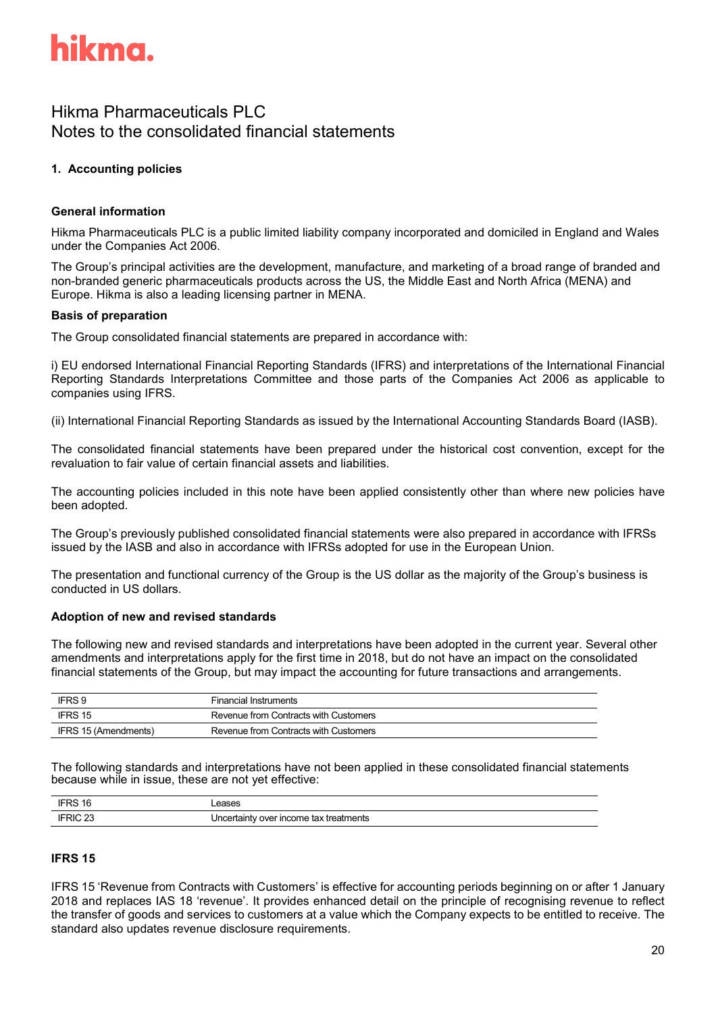

# Hikma Pharmaceuticals PLC Notes to the consolidated financial statements

# **1. Accounting policies**

### **General information**

Hikma Pharmaceuticals PLC is a public limited liability company incorporated and domiciled in England and Wales under the Companies Act 2006.

The Group's principal activities are the development, manufacture, and marketing of a broad range of branded and non-branded generic pharmaceuticals products across the US, the Middle East and North Africa (MENA) and Europe. Hikma is also a leading licensing partner in MENA.

#### **Basis of preparation**

The Group consolidated financial statements are prepared in accordance with:

i) EU endorsed International Financial Reporting Standards (IFRS) and interpretations of the International Financial Reporting Standards Interpretations Committee and those parts of the Companies Act 2006 as applicable to companies using IFRS.

(ii) International Financial Reporting Standards as issued by the International Accounting Standards Board (IASB).

The consolidated financial statements have been prepared under the historical cost convention, except for the revaluation to fair value of certain financial assets and liabilities.

The accounting policies included in this note have been applied consistently other than where new policies have been adopted.

The Group's previously published consolidated financial statements were also prepared in accordance with IFRSs issued by the IASB and also in accordance with IFRSs adopted for use in the European Union.

The presentation and functional currency of the Group is the US dollar as the majority of the Group's business is conducted in US dollars.

#### **Adoption of new and revised standards**

The following new and revised standards and interpretations have been adopted in the current year. Several other amendments and interpretations apply for the first time in 2018, but do not have an impact on the consolidated financial statements of the Group, but may impact the accounting for future transactions and arrangements.

| IFRS 9               | <b>Financial Instruments</b>          |
|----------------------|---------------------------------------|
| IFRS 15              | Revenue from Contracts with Customers |
| IFRS 15 (Amendments) | Revenue from Contracts with Customers |

The following standards and interpretations have not been applied in these consolidated financial statements because while in issue, these are not yet effective:

| л.          | ວອວ                                                       |
|-------------|-----------------------------------------------------------|
|             |                                                           |
| $\sim$<br>- | treatments :<br>∽ rtaintyس<br>r income tax<br>Unc<br>over |

#### **IFRS 15**

IFRS 15 'Revenue from Contracts with Customers' is effective for accounting periods beginning on or after 1 January 2018 and replaces IAS 18 'revenue'. It provides enhanced detail on the principle of recognising revenue to reflect the transfer of goods and services to customers at a value which the Company expects to be entitled to receive. The standard also updates revenue disclosure requirements.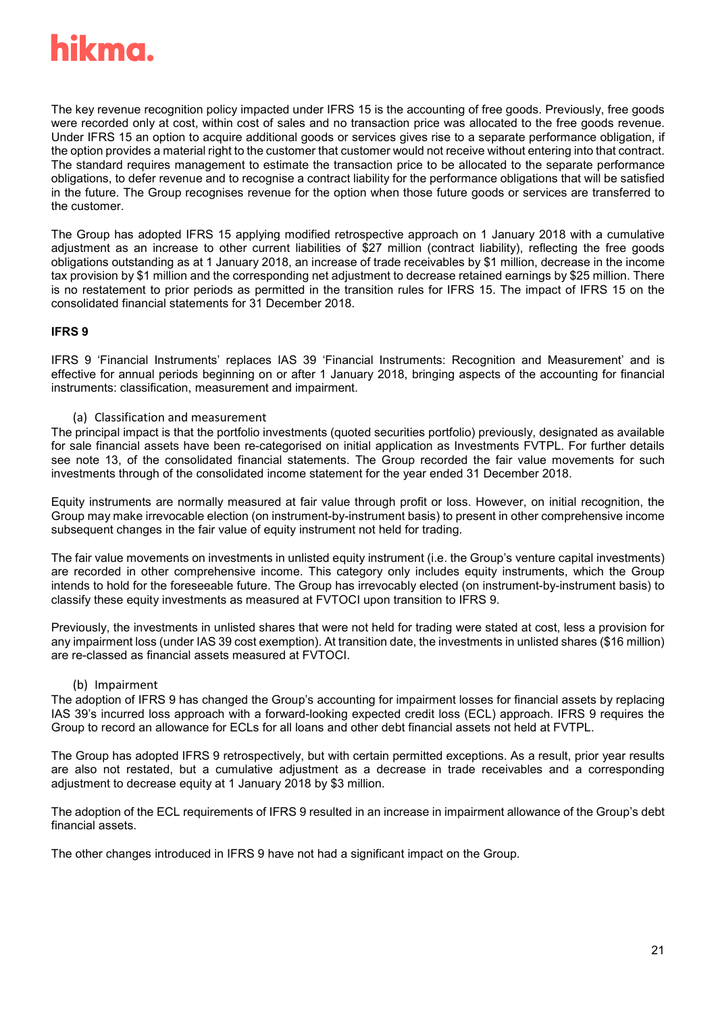

The key revenue recognition policy impacted under IFRS 15 is the accounting of free goods. Previously, free goods were recorded only at cost, within cost of sales and no transaction price was allocated to the free goods revenue. Under IFRS 15 an option to acquire additional goods or services gives rise to a separate performance obligation, if the option provides a material right to the customer that customer would not receive without entering into that contract. The standard requires management to estimate the transaction price to be allocated to the separate performance obligations, to defer revenue and to recognise a contract liability for the performance obligations that will be satisfied in the future. The Group recognises revenue for the option when those future goods or services are transferred to the customer.

The Group has adopted IFRS 15 applying modified retrospective approach on 1 January 2018 with a cumulative adjustment as an increase to other current liabilities of \$27 million (contract liability), reflecting the free goods obligations outstanding as at 1 January 2018, an increase of trade receivables by \$1 million, decrease in the income tax provision by \$1 million and the corresponding net adjustment to decrease retained earnings by \$25 million. There is no restatement to prior periods as permitted in the transition rules for IFRS 15. The impact of IFRS 15 on the consolidated financial statements for 31 December 2018.

#### **IFRS 9**

IFRS 9 'Financial Instruments' replaces IAS 39 'Financial Instruments: Recognition and Measurement' and is effective for annual periods beginning on or after 1 January 2018, bringing aspects of the accounting for financial instruments: classification, measurement and impairment.

(a) Classification and measurement

The principal impact is that the portfolio investments (quoted securities portfolio) previously, designated as available for sale financial assets have been re-categorised on initial application as Investments FVTPL. For further details see note 13, of the consolidated financial statements. The Group recorded the fair value movements for such investments through of the consolidated income statement for the year ended 31 December 2018.

Equity instruments are normally measured at fair value through profit or loss. However, on initial recognition, the Group may make irrevocable election (on instrument-by-instrument basis) to present in other comprehensive income subsequent changes in the fair value of equity instrument not held for trading.

The fair value movements on investments in unlisted equity instrument (i.e. the Group's venture capital investments) are recorded in other comprehensive income. This category only includes equity instruments, which the Group intends to hold for the foreseeable future. The Group has irrevocably elected (on instrument-by-instrument basis) to classify these equity investments as measured at FVTOCI upon transition to IFRS 9.

Previously, the investments in unlisted shares that were not held for trading were stated at cost, less a provision for any impairment loss (under IAS 39 cost exemption). At transition date, the investments in unlisted shares (\$16 million) are re-classed as financial assets measured at FVTOCI.

### (b) Impairment

The adoption of IFRS 9 has changed the Group's accounting for impairment losses for financial assets by replacing IAS 39's incurred loss approach with a forward-looking expected credit loss (ECL) approach. IFRS 9 requires the Group to record an allowance for ECLs for all loans and other debt financial assets not held at FVTPL.

The Group has adopted IFRS 9 retrospectively, but with certain permitted exceptions. As a result, prior year results are also not restated, but a cumulative adjustment as a decrease in trade receivables and a corresponding adjustment to decrease equity at 1 January 2018 by \$3 million.

The adoption of the ECL requirements of IFRS 9 resulted in an increase in impairment allowance of the Group's debt financial assets.

The other changes introduced in IFRS 9 have not had a significant impact on the Group.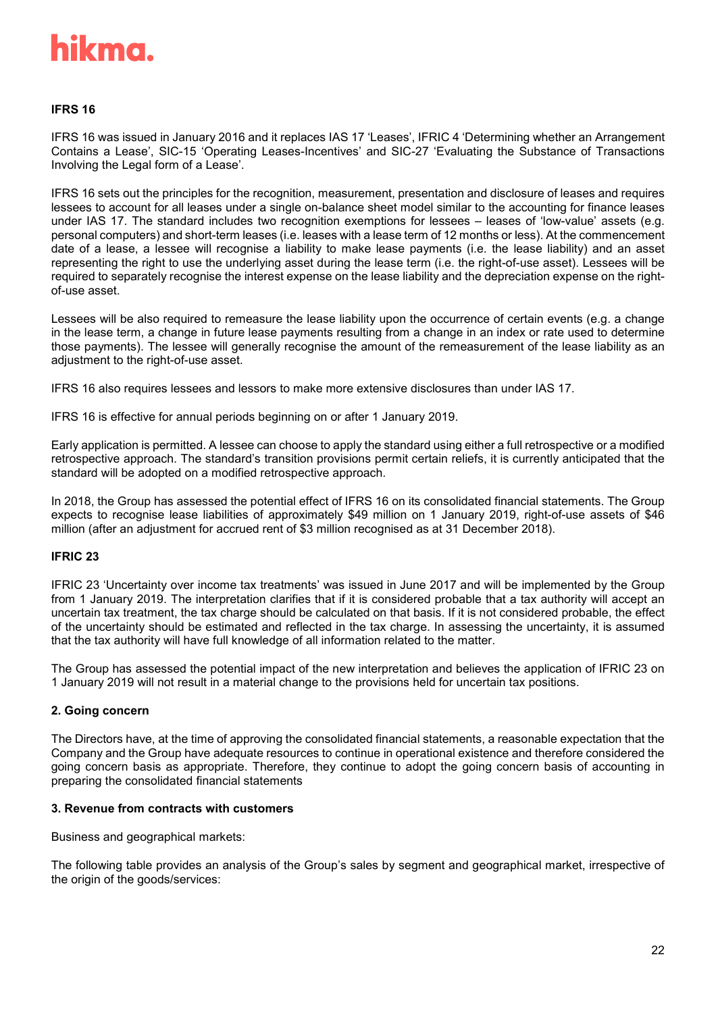

#### **IFRS 16**

IFRS 16 was issued in January 2016 and it replaces IAS 17 'Leases', IFRIC 4 'Determining whether an Arrangement Contains a Lease', SIC-15 'Operating Leases-Incentives' and SIC-27 'Evaluating the Substance of Transactions Involving the Legal form of a Lease'.

IFRS 16 sets out the principles for the recognition, measurement, presentation and disclosure of leases and requires lessees to account for all leases under a single on-balance sheet model similar to the accounting for finance leases under IAS 17. The standard includes two recognition exemptions for lessees – leases of 'low-value' assets (e.g. personal computers) and short-term leases (i.e. leases with a lease term of 12 months or less). At the commencement date of a lease, a lessee will recognise a liability to make lease payments (i.e. the lease liability) and an asset representing the right to use the underlying asset during the lease term (i.e. the right-of-use asset). Lessees will be required to separately recognise the interest expense on the lease liability and the depreciation expense on the rightof-use asset.

Lessees will be also required to remeasure the lease liability upon the occurrence of certain events (e.g. a change in the lease term, a change in future lease payments resulting from a change in an index or rate used to determine those payments). The lessee will generally recognise the amount of the remeasurement of the lease liability as an adjustment to the right-of-use asset.

IFRS 16 also requires lessees and lessors to make more extensive disclosures than under IAS 17.

IFRS 16 is effective for annual periods beginning on or after 1 January 2019.

Early application is permitted. A lessee can choose to apply the standard using either a full retrospective or a modified retrospective approach. The standard's transition provisions permit certain reliefs, it is currently anticipated that the standard will be adopted on a modified retrospective approach.

In 2018, the Group has assessed the potential effect of IFRS 16 on its consolidated financial statements. The Group expects to recognise lease liabilities of approximately \$49 million on 1 January 2019, right-of-use assets of \$46 million (after an adjustment for accrued rent of \$3 million recognised as at 31 December 2018).

#### **IFRIC 23**

IFRIC 23 'Uncertainty over income tax treatments' was issued in June 2017 and will be implemented by the Group from 1 January 2019. The interpretation clarifies that if it is considered probable that a tax authority will accept an uncertain tax treatment, the tax charge should be calculated on that basis. If it is not considered probable, the effect of the uncertainty should be estimated and reflected in the tax charge. In assessing the uncertainty, it is assumed that the tax authority will have full knowledge of all information related to the matter.

The Group has assessed the potential impact of the new interpretation and believes the application of IFRIC 23 on 1 January 2019 will not result in a material change to the provisions held for uncertain tax positions.

#### **2. Going concern**

The Directors have, at the time of approving the consolidated financial statements, a reasonable expectation that the Company and the Group have adequate resources to continue in operational existence and therefore considered the going concern basis as appropriate. Therefore, they continue to adopt the going concern basis of accounting in preparing the consolidated financial statements

#### **3. Revenue from contracts with customers**

Business and geographical markets:

The following table provides an analysis of the Group's sales by segment and geographical market, irrespective of the origin of the goods/services: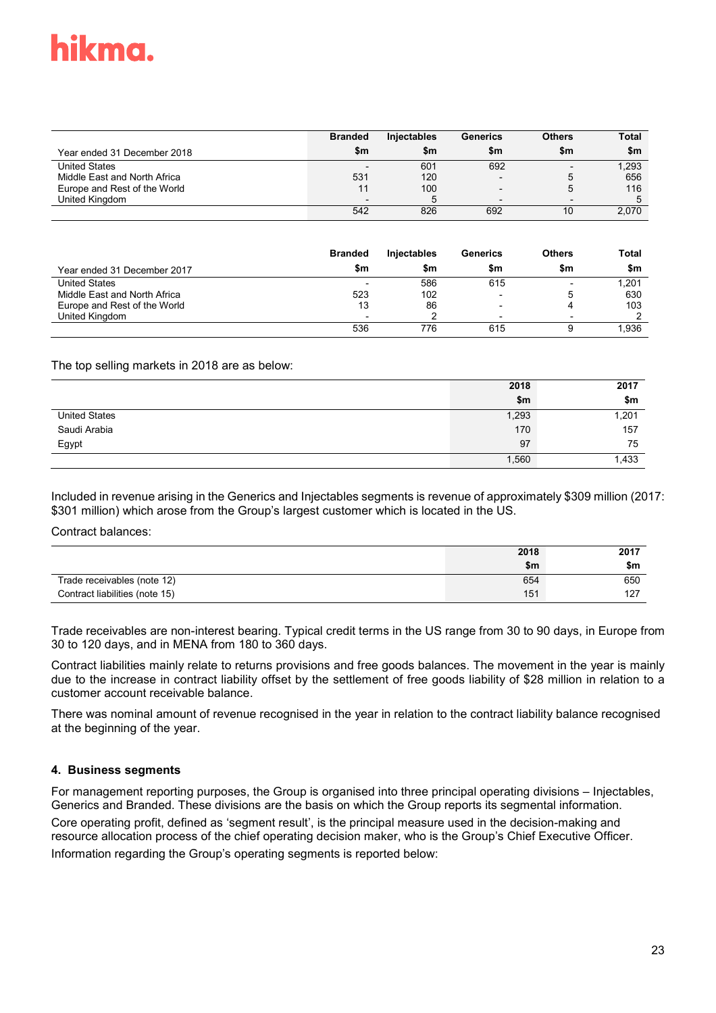|                              | <b>Branded</b>           | <b>Injectables</b> | <b>Generics</b>          | <b>Others</b>            | <b>Total</b> |
|------------------------------|--------------------------|--------------------|--------------------------|--------------------------|--------------|
| Year ended 31 December 2018  | \$m                      | \$m                | \$m                      | \$m                      | \$m          |
| <b>United States</b>         |                          | 601                | 692                      | $\overline{\phantom{0}}$ | 1.293        |
| Middle East and North Africa | 531                      | 120                | $\overline{\phantom{0}}$ |                          | 656          |
| Europe and Rest of the World |                          | 100                | $\overline{\phantom{a}}$ |                          | 116          |
| United Kingdom               | $\overline{\phantom{0}}$ | 5                  | $\overline{\phantom{0}}$ | $\overline{\phantom{0}}$ | 5            |
|                              | 542                      | 826                | 692                      | 10                       | 2.070        |

|                              | <b>Branded</b> | <b>Injectables</b> | Generics                 | <b>Others</b>            | <b>Total</b> |
|------------------------------|----------------|--------------------|--------------------------|--------------------------|--------------|
| Year ended 31 December 2017  | \$m            | \$m                | \$m                      | \$m                      | \$m          |
| <b>United States</b>         |                | 586                | 615                      | $\overline{\phantom{0}}$ | 1.201        |
| Middle East and North Africa | 523            | 102                | $\overline{\phantom{0}}$ |                          | 630          |
| Europe and Rest of the World | 13             | 86                 | $\overline{\phantom{0}}$ |                          | 103          |
| United Kingdom               |                |                    | $\overline{\phantom{a}}$ |                          |              |
|                              | 536            | 776                | 615                      |                          | 1.936        |

The top selling markets in 2018 are as below:

|                      | 2018  | 2017  |
|----------------------|-------|-------|
|                      | \$m   | \$m   |
| <b>United States</b> | 1,293 | 1,201 |
| Saudi Arabia         | 170   | 157   |
| Egypt                | 97    | 75    |
|                      | 1,560 | 1,433 |

Included in revenue arising in the Generics and Injectables segments is revenue of approximately \$309 million (2017: \$301 million) which arose from the Group's largest customer which is located in the US.

Contract balances:

|                                | 2018 | 2017 |
|--------------------------------|------|------|
|                                | \$m  | \$m  |
| Trade receivables (note 12)    | 654  | 650  |
| Contract liabilities (note 15) | 151  | 127  |

Trade receivables are non-interest bearing. Typical credit terms in the US range from 30 to 90 days, in Europe from 30 to 120 days, and in MENA from 180 to 360 days.

Contract liabilities mainly relate to returns provisions and free goods balances. The movement in the year is mainly due to the increase in contract liability offset by the settlement of free goods liability of \$28 million in relation to a customer account receivable balance.

There was nominal amount of revenue recognised in the year in relation to the contract liability balance recognised at the beginning of the year.

### **4. Business segments**

For management reporting purposes, the Group is organised into three principal operating divisions – Injectables, Generics and Branded. These divisions are the basis on which the Group reports its segmental information.

Core operating profit, defined as 'segment result', is the principal measure used in the decision-making and resource allocation process of the chief operating decision maker, who is the Group's Chief Executive Officer. Information regarding the Group's operating segments is reported below: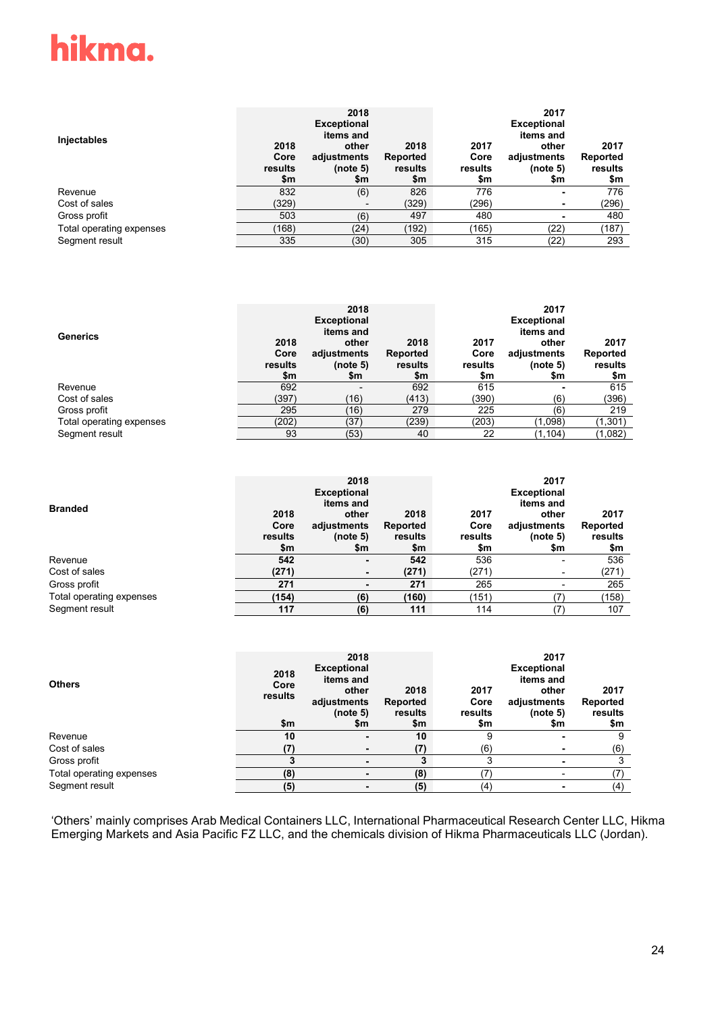| Injectables              | 2018<br>Core<br>results<br>\$m | 2018<br><b>Exceptional</b><br>items and<br>other<br>adjustments<br>(note 5)<br>\$m | 2018<br>Reported<br>results<br>\$m | 2017<br>Core<br>results<br>\$m | 2017<br><b>Exceptional</b><br>items and<br>other<br>adjustments<br>(note 5)<br>\$m | 2017<br>Reported<br>results<br>\$m |
|--------------------------|--------------------------------|------------------------------------------------------------------------------------|------------------------------------|--------------------------------|------------------------------------------------------------------------------------|------------------------------------|
| Revenue                  | 832                            | (6)                                                                                | 826                                | 776                            |                                                                                    | 776                                |
| Cost of sales            | (329)                          | $\overline{\phantom{0}}$                                                           | (329)                              | (296)                          |                                                                                    | (296)                              |
| Gross profit             | 503                            | (6)                                                                                | 497                                | 480                            |                                                                                    | 480                                |
| Total operating expenses | (168)                          | (24)                                                                               | (192)                              | (165)                          | (22)                                                                               | (187)                              |
| Segment result           | 335                            | (30)                                                                               | 305                                | 315                            | (22)                                                                               | 293                                |

| <b>Generics</b>          | 2018<br>Core<br>results<br>\$m | 2018<br><b>Exceptional</b><br>items and<br>other<br>adjustments<br>(note 5)<br>\$m | 2018<br>Reported<br>results<br>\$m | 2017<br>Core<br>results<br>\$m | 2017<br><b>Exceptional</b><br>items and<br>other<br>adjustments<br>(note 5)<br>\$m | 2017<br>Reported<br>results<br>\$m |
|--------------------------|--------------------------------|------------------------------------------------------------------------------------|------------------------------------|--------------------------------|------------------------------------------------------------------------------------|------------------------------------|
| Revenue                  | 692                            |                                                                                    | 692                                | 615                            |                                                                                    | 615                                |
| Cost of sales            | (397)                          | (16)                                                                               | (413)                              | (390)                          | (6)                                                                                | (396)                              |
| Gross profit             | 295                            | (16)                                                                               | 279                                | 225                            | (6)                                                                                | 219                                |
| Total operating expenses | (202)                          | (37)                                                                               | (239)                              | (203)                          | (1,098)                                                                            | (1,301)                            |
| Segment result           | 93                             | (53)                                                                               | 40                                 | 22                             | (1, 104)                                                                           | (1,082)                            |

| <b>Branded</b>           | 2018<br>Core<br>results<br>\$m | 2018<br><b>Exceptional</b><br>items and<br>other<br>adjustments<br>(note 5)<br>\$m | 2018<br>Reported<br>results<br>\$m | 2017<br>Core<br>results<br>\$m | 2017<br><b>Exceptional</b><br>items and<br>other<br>adjustments<br>(note 5)<br>\$m | 2017<br>Reported<br>results<br>\$m |
|--------------------------|--------------------------------|------------------------------------------------------------------------------------|------------------------------------|--------------------------------|------------------------------------------------------------------------------------|------------------------------------|
| Revenue                  | 542                            | ٠                                                                                  | 542                                | 536                            |                                                                                    | 536                                |
| Cost of sales            | (271)                          | ٠                                                                                  | (271)                              | (271)                          | ٠                                                                                  | (271)                              |
| Gross profit             | 271                            | ٠                                                                                  | 271                                | 265                            | -                                                                                  | 265                                |
| Total operating expenses | (154)                          | (6)                                                                                | (160)                              | (151)                          | ־                                                                                  | (158)                              |
| Segment result           | 117                            | (6)                                                                                | 111                                | 114                            |                                                                                    | 107                                |

| <b>Others</b>            | 2018<br>Core<br>results<br>\$m | 2018<br><b>Exceptional</b><br>items and<br>other<br>adjustments<br>(note 5)<br>\$m | 2018<br>Reported<br>results<br>\$m | 2017<br>Core<br>results<br>\$m | 2017<br><b>Exceptional</b><br>items and<br>other<br>adjustments<br>(note 5)<br>\$m | 2017<br>Reported<br>results<br>\$m |
|--------------------------|--------------------------------|------------------------------------------------------------------------------------|------------------------------------|--------------------------------|------------------------------------------------------------------------------------|------------------------------------|
| Revenue                  | 10                             | -                                                                                  | 10                                 |                                |                                                                                    | 9                                  |
| Cost of sales            | (7)                            |                                                                                    | (7)                                | (6)                            |                                                                                    | (6)                                |
| Gross profit             |                                |                                                                                    | 3                                  |                                |                                                                                    | 3                                  |
| Total operating expenses | (8)                            |                                                                                    | (8)                                | ־                              |                                                                                    | (7)                                |
| Segment result           | (5)                            |                                                                                    | (5)                                | (4)                            |                                                                                    | (4)                                |

'Others' mainly comprises Arab Medical Containers LLC, International Pharmaceutical Research Center LLC, Hikma Emerging Markets and Asia Pacific FZ LLC, and the chemicals division of Hikma Pharmaceuticals LLC (Jordan).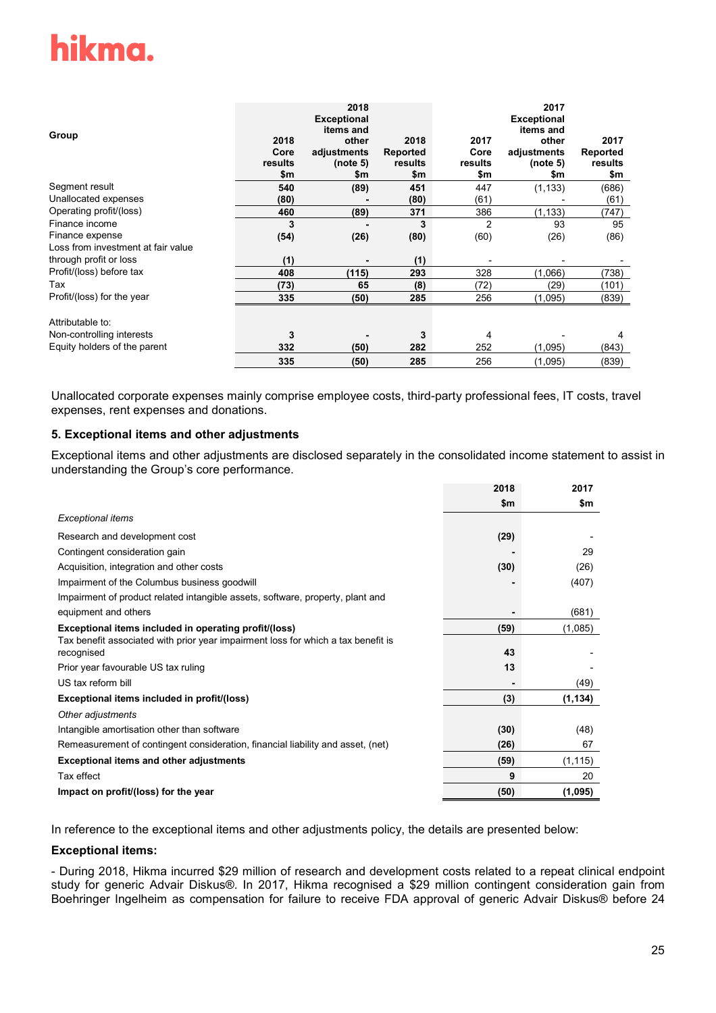| Group                              | 2018<br>Core<br>results<br>\$m | 2018<br><b>Exceptional</b><br>items and<br>other<br>adjustments<br>(note 5)<br>\$m | 2018<br><b>Reported</b><br>results<br>\$m | 2017<br>Core<br>results<br>\$m | 2017<br><b>Exceptional</b><br>items and<br>other<br>adjustments<br>(note 5)<br>\$m | 2017<br>Reported<br>results<br>\$m |
|------------------------------------|--------------------------------|------------------------------------------------------------------------------------|-------------------------------------------|--------------------------------|------------------------------------------------------------------------------------|------------------------------------|
| Segment result                     | 540                            | (89)                                                                               | 451                                       | 447                            | (1, 133)                                                                           | (686)                              |
| Unallocated expenses               | (80)                           |                                                                                    | (80)                                      | (61)                           |                                                                                    | (61)                               |
| Operating profit/(loss)            | 460                            | (89)                                                                               | 371                                       | 386                            | (1, 133)                                                                           | (747)                              |
| Finance income                     | 3                              |                                                                                    | 3                                         | 2                              | 93                                                                                 | 95                                 |
| Finance expense                    | (54)                           | (26)                                                                               | (80)                                      | (60)                           | (26)                                                                               | (86)                               |
| Loss from investment at fair value |                                |                                                                                    |                                           |                                |                                                                                    |                                    |
| through profit or loss             | (1)                            |                                                                                    | (1)                                       |                                |                                                                                    |                                    |
| Profit/(loss) before tax           | 408                            | (115)                                                                              | 293                                       | 328                            | (1,066)                                                                            | (738)                              |
| Tax                                | (73)                           | 65                                                                                 | (8)                                       | (72)                           | (29)                                                                               | (101)                              |
| Profit/(loss) for the year         | 335                            | (50)                                                                               | 285                                       | 256                            | (1,095)                                                                            | (839)                              |
| Attributable to:                   |                                |                                                                                    |                                           |                                |                                                                                    |                                    |
| Non-controlling interests          | 3                              |                                                                                    | 3                                         | 4                              |                                                                                    | 4                                  |
| Equity holders of the parent       | 332                            | (50)                                                                               | 282                                       | 252                            | (1,095)                                                                            | (843)                              |
|                                    | 335                            | (50)                                                                               | 285                                       | 256                            | (1,095)                                                                            | (839)                              |

Unallocated corporate expenses mainly comprise employee costs, third-party professional fees, IT costs, travel expenses, rent expenses and donations.

#### **5. Exceptional items and other adjustments**

Exceptional items and other adjustments are disclosed separately in the consolidated income statement to assist in understanding the Group's core performance.

|                                                                                                 | 2018 | 2017     |
|-------------------------------------------------------------------------------------------------|------|----------|
|                                                                                                 | \$m  | \$m      |
| <b>Exceptional items</b>                                                                        |      |          |
| Research and development cost                                                                   | (29) |          |
| Contingent consideration gain                                                                   |      | 29       |
| Acquisition, integration and other costs                                                        | (30) | (26)     |
| Impairment of the Columbus business goodwill                                                    |      | (407)    |
| Impairment of product related intangible assets, software, property, plant and                  |      |          |
| equipment and others                                                                            |      | (681)    |
| Exceptional items included in operating profit/(loss)                                           | (59) | (1,085)  |
| Tax benefit associated with prior year impairment loss for which a tax benefit is<br>recognised | 43   |          |
| Prior year favourable US tax ruling                                                             | 13   |          |
| US tax reform bill                                                                              |      | (49)     |
| Exceptional items included in profit/(loss)                                                     | (3)  | (1, 134) |
| Other adjustments                                                                               |      |          |
| Intangible amortisation other than software                                                     | (30) | (48)     |
| Remeasurement of contingent consideration, financial liability and asset, (net)                 | (26) | 67       |
| <b>Exceptional items and other adjustments</b>                                                  | (59) | (1, 115) |
| Tax effect                                                                                      | 9    | 20       |
| Impact on profit/(loss) for the year                                                            | (50) | (1,095)  |

In reference to the exceptional items and other adjustments policy, the details are presented below:

#### **Exceptional items:**

- During 2018, Hikma incurred \$29 million of research and development costs related to a repeat clinical endpoint study for generic Advair Diskus®. In 2017, Hikma recognised a \$29 million contingent consideration gain from Boehringer Ingelheim as compensation for failure to receive FDA approval of generic Advair Diskus® before 24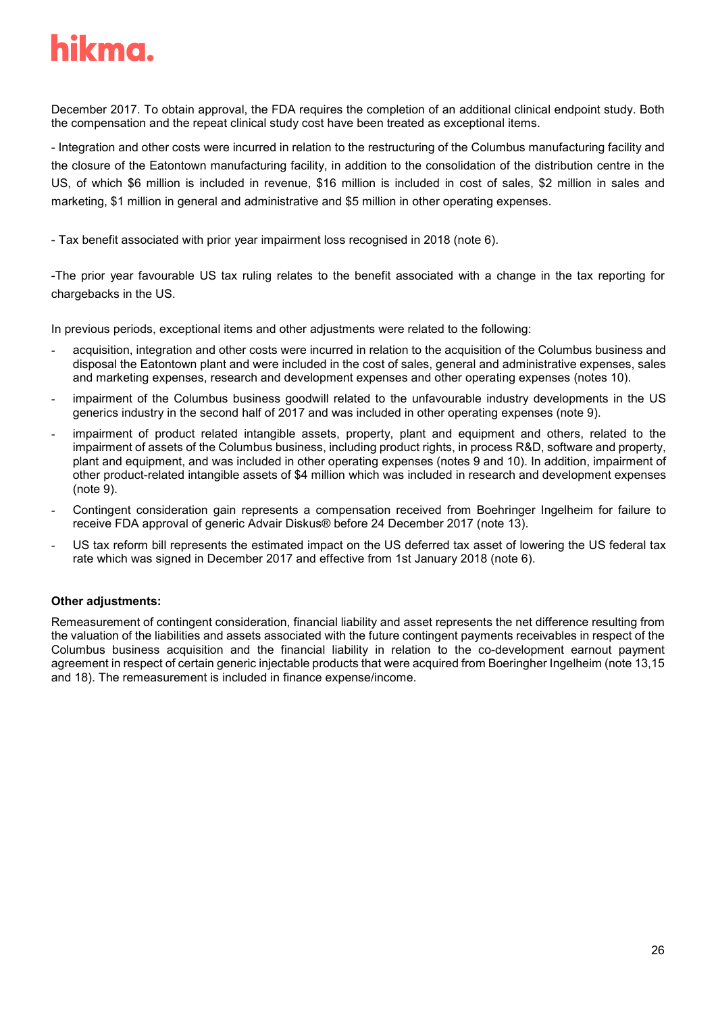December 2017. To obtain approval, the FDA requires the completion of an additional clinical endpoint study. Both the compensation and the repeat clinical study cost have been treated as exceptional items.

- Integration and other costs were incurred in relation to the restructuring of the Columbus manufacturing facility and the closure of the Eatontown manufacturing facility, in addition to the consolidation of the distribution centre in the US, of which \$6 million is included in revenue, \$16 million is included in cost of sales, \$2 million in sales and marketing, \$1 million in general and administrative and \$5 million in other operating expenses.

- Tax benefit associated with prior year impairment loss recognised in 2018 (note 6).

-The prior year favourable US tax ruling relates to the benefit associated with a change in the tax reporting for chargebacks in the US.

In previous periods, exceptional items and other adjustments were related to the following:

- acquisition, integration and other costs were incurred in relation to the acquisition of the Columbus business and disposal the Eatontown plant and were included in the cost of sales, general and administrative expenses, sales and marketing expenses, research and development expenses and other operating expenses (notes 10).
- impairment of the Columbus business goodwill related to the unfavourable industry developments in the US generics industry in the second half of 2017 and was included in other operating expenses (note 9).
- impairment of product related intangible assets, property, plant and equipment and others, related to the impairment of assets of the Columbus business, including product rights, in process R&D, software and property, plant and equipment, and was included in other operating expenses (notes 9 and 10). In addition, impairment of other product-related intangible assets of \$4 million which was included in research and development expenses (note 9).
- Contingent consideration gain represents a compensation received from Boehringer Ingelheim for failure to receive FDA approval of generic Advair Diskus® before 24 December 2017 (note 13).
- US tax reform bill represents the estimated impact on the US deferred tax asset of lowering the US federal tax rate which was signed in December 2017 and effective from 1st January 2018 (note 6).

### **Other adjustments:**

Remeasurement of contingent consideration, financial liability and asset represents the net difference resulting from the valuation of the liabilities and assets associated with the future contingent payments receivables in respect of the Columbus business acquisition and the financial liability in relation to the co-development earnout payment agreement in respect of certain generic injectable products that were acquired from Boeringher Ingelheim (note 13,15 and 18). The remeasurement is included in finance expense/income.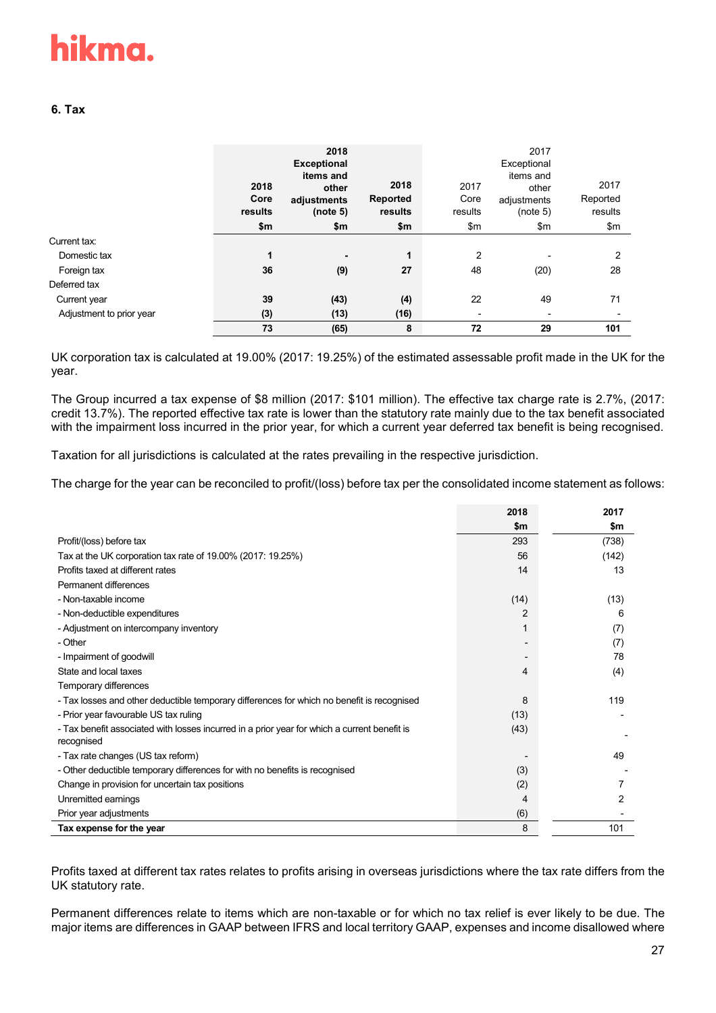### **6. Tax**

|                          | 2018<br>Core<br>results<br>\$m | 2018<br><b>Exceptional</b><br>items and<br>other<br>adjustments<br>(note 5)<br>\$m | 2018<br>Reported<br>results<br>\$m | 2017<br>Core<br>results<br>\$m | 2017<br>Exceptional<br>items and<br>other<br>adjustments<br>(note 5)<br>\$m | 2017<br>Reported<br>results<br>\$m\$ |
|--------------------------|--------------------------------|------------------------------------------------------------------------------------|------------------------------------|--------------------------------|-----------------------------------------------------------------------------|--------------------------------------|
| Current tax:             |                                |                                                                                    |                                    |                                |                                                                             |                                      |
| Domestic tax             | $\mathbf{1}$                   | ٠                                                                                  | $\mathbf{1}$                       | $\overline{2}$                 | $\overline{\phantom{a}}$                                                    | 2                                    |
| Foreign tax              | 36                             | (9)                                                                                | 27                                 | 48                             | (20)                                                                        | 28                                   |
| Deferred tax             |                                |                                                                                    |                                    |                                |                                                                             |                                      |
| Current year             | 39                             | (43)                                                                               | (4)                                | 22                             | 49                                                                          | 71                                   |
| Adjustment to prior year | (3)                            | (13)                                                                               | (16)                               | -                              | $\overline{\phantom{a}}$                                                    | $\overline{\phantom{0}}$             |
|                          | 73                             | (65)                                                                               | 8                                  | 72                             | 29                                                                          | 101                                  |

UK corporation tax is calculated at 19.00% (2017: 19.25%) of the estimated assessable profit made in the UK for the year.

The Group incurred a tax expense of \$8 million (2017: \$101 million). The effective tax charge rate is 2.7%, (2017: credit 13.7%). The reported effective tax rate is lower than the statutory rate mainly due to the tax benefit associated with the impairment loss incurred in the prior year, for which a current year deferred tax benefit is being recognised.

Taxation for all jurisdictions is calculated at the rates prevailing in the respective jurisdiction.

The charge for the year can be reconciled to profit/(loss) before tax per the consolidated income statement as follows:

|                                                                                              | 2018          | 2017  |
|----------------------------------------------------------------------------------------------|---------------|-------|
|                                                                                              | $\mathsf{sm}$ | \$m   |
| Profit/(loss) before tax                                                                     | 293           | (738) |
| Tax at the UK corporation tax rate of 19.00% (2017: 19.25%)                                  | 56            | (142) |
| Profits taxed at different rates                                                             | 14            | 13    |
| Permanent differences                                                                        |               |       |
| - Non-taxable income                                                                         | (14)          | (13)  |
| - Non-deductible expenditures                                                                | 2             | 6     |
| - Adjustment on intercompany inventory                                                       |               | (7)   |
| - Other                                                                                      |               | (7)   |
| - Impairment of goodwill                                                                     |               | 78    |
| State and local taxes                                                                        | 4             | (4)   |
| Temporary differences                                                                        |               |       |
| - Tax losses and other deductible temporary differences for which no benefit is recognised   | 8             | 119   |
| - Prior year favourable US tax ruling                                                        | (13)          |       |
| - Tax benefit associated with losses incurred in a prior year for which a current benefit is | (43)          |       |
| recognised                                                                                   |               |       |
| - Tax rate changes (US tax reform)                                                           |               | 49    |
| - Other deductible temporary differences for with no benefits is recognised                  | (3)           |       |
| Change in provision for uncertain tax positions                                              | (2)           |       |
| Unremitted earnings                                                                          | 4             | 2     |
| Prior year adjustments                                                                       | (6)           |       |
| Tax expense for the year                                                                     | 8             | 101   |

Profits taxed at different tax rates relates to profits arising in overseas jurisdictions where the tax rate differs from the UK statutory rate.

Permanent differences relate to items which are non-taxable or for which no tax relief is ever likely to be due. The major items are differences in GAAP between IFRS and local territory GAAP, expenses and income disallowed where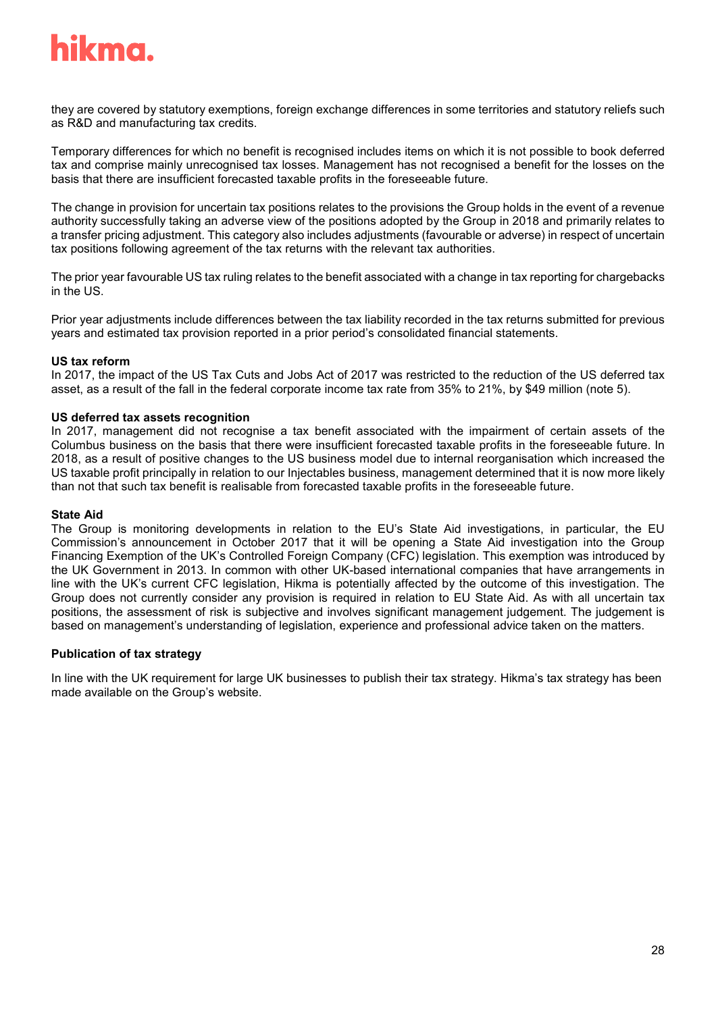

they are covered by statutory exemptions, foreign exchange differences in some territories and statutory reliefs such as R&D and manufacturing tax credits.

Temporary differences for which no benefit is recognised includes items on which it is not possible to book deferred tax and comprise mainly unrecognised tax losses. Management has not recognised a benefit for the losses on the basis that there are insufficient forecasted taxable profits in the foreseeable future.

The change in provision for uncertain tax positions relates to the provisions the Group holds in the event of a revenue authority successfully taking an adverse view of the positions adopted by the Group in 2018 and primarily relates to a transfer pricing adjustment. This category also includes adjustments (favourable or adverse) in respect of uncertain tax positions following agreement of the tax returns with the relevant tax authorities.

The prior year favourable US tax ruling relates to the benefit associated with a change in tax reporting for chargebacks in the US.

Prior year adjustments include differences between the tax liability recorded in the tax returns submitted for previous years and estimated tax provision reported in a prior period's consolidated financial statements.

#### **US tax reform**

In 2017, the impact of the US Tax Cuts and Jobs Act of 2017 was restricted to the reduction of the US deferred tax asset, as a result of the fall in the federal corporate income tax rate from 35% to 21%, by \$49 million (note 5).

#### **US deferred tax assets recognition**

In 2017, management did not recognise a tax benefit associated with the impairment of certain assets of the Columbus business on the basis that there were insufficient forecasted taxable profits in the foreseeable future. In 2018, as a result of positive changes to the US business model due to internal reorganisation which increased the US taxable profit principally in relation to our Injectables business, management determined that it is now more likely than not that such tax benefit is realisable from forecasted taxable profits in the foreseeable future.

#### **State Aid**

The Group is monitoring developments in relation to the EU's State Aid investigations, in particular, the EU Commission's announcement in October 2017 that it will be opening a State Aid investigation into the Group Financing Exemption of the UK's Controlled Foreign Company (CFC) legislation. This exemption was introduced by the UK Government in 2013. In common with other UK-based international companies that have arrangements in line with the UK's current CFC legislation, Hikma is potentially affected by the outcome of this investigation. The Group does not currently consider any provision is required in relation to EU State Aid. As with all uncertain tax positions, the assessment of risk is subjective and involves significant management judgement. The judgement is based on management's understanding of legislation, experience and professional advice taken on the matters.

#### **Publication of tax strategy**

In line with the UK requirement for large UK businesses to publish their tax strategy. Hikma's tax strategy has been made available on the Group's website.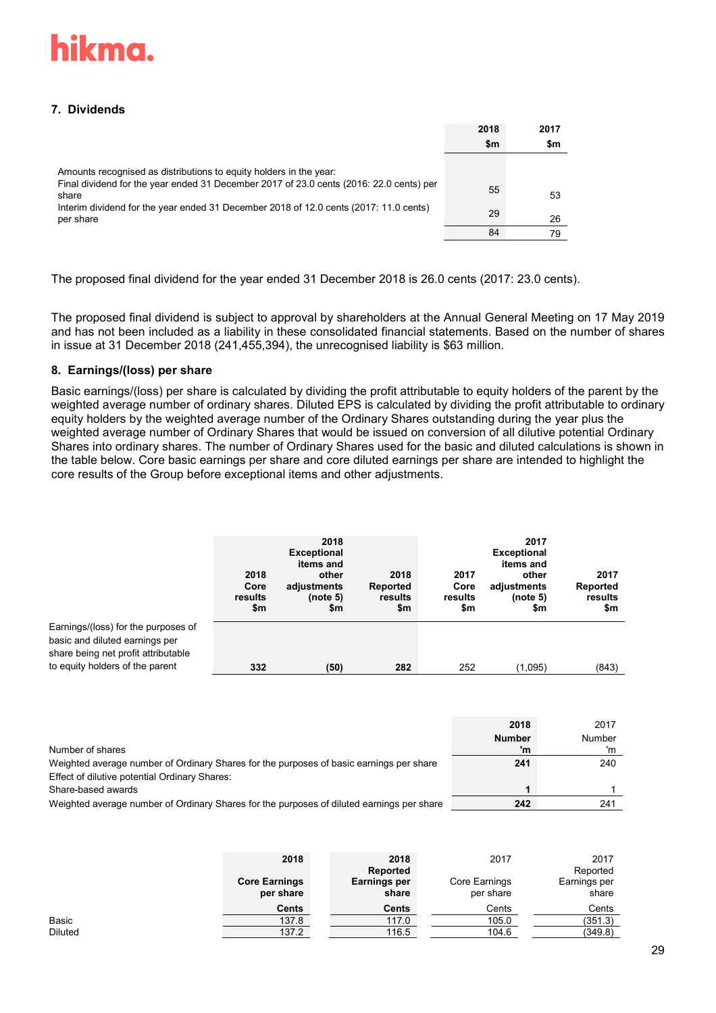# **7. Dividends**

|                                                                                                                                                                                                                                                                              | 2018<br>\$m    | 2017<br>\$m    |
|------------------------------------------------------------------------------------------------------------------------------------------------------------------------------------------------------------------------------------------------------------------------------|----------------|----------------|
| Amounts recognised as distributions to equity holders in the year:<br>Final dividend for the year ended 31 December 2017 of 23.0 cents (2016: 22.0 cents) per<br>share<br>Interim dividend for the year ended 31 December 2018 of 12.0 cents (2017: 11.0 cents)<br>per share | 55<br>29<br>84 | 53<br>26<br>79 |

The proposed final dividend for the year ended 31 December 2018 is 26.0 cents (2017: 23.0 cents).

The proposed final dividend is subject to approval by shareholders at the Annual General Meeting on 17 May 2019 and has not been included as a liability in these consolidated financial statements. Based on the number of shares in issue at 31 December 2018 (241,455,394), the unrecognised liability is \$63 million.

#### **8. Earnings/(loss) per share**

Basic earnings/(loss) per share is calculated by dividing the profit attributable to equity holders of the parent by the weighted average number of ordinary shares. Diluted EPS is calculated by dividing the profit attributable to ordinary equity holders by the weighted average number of the Ordinary Shares outstanding during the year plus the weighted average number of Ordinary Shares that would be issued on conversion of all dilutive potential Ordinary Shares into ordinary shares. The number of Ordinary Shares used for the basic and diluted calculations is shown in the table below. Core basic earnings per share and core diluted earnings per share are intended to highlight the core results of the Group before exceptional items and other adjustments.

|                                     | 2018<br>Core<br>results<br>\$m | 2018<br><b>Exceptional</b><br>items and<br>other<br>adjustments<br>(note 5)<br>\$m | 2018<br><b>Reported</b><br>results<br>\$m | 2017<br>Core<br>results<br>\$m | 2017<br><b>Exceptional</b><br>items and<br>other<br>adjustments<br>(note 5)<br>\$m | 2017<br>Reported<br>results<br>\$m |
|-------------------------------------|--------------------------------|------------------------------------------------------------------------------------|-------------------------------------------|--------------------------------|------------------------------------------------------------------------------------|------------------------------------|
| Earnings/(loss) for the purposes of |                                |                                                                                    |                                           |                                |                                                                                    |                                    |
| basic and diluted earnings per      |                                |                                                                                    |                                           |                                |                                                                                    |                                    |
| share being net profit attributable |                                |                                                                                    |                                           |                                |                                                                                    |                                    |
| to equity holders of the parent     | 332                            | (50)                                                                               | 282                                       | 252                            | (1,095)                                                                            | (843)                              |

|                                                                                           | 2018          | 2017   |
|-------------------------------------------------------------------------------------------|---------------|--------|
|                                                                                           | <b>Number</b> | Number |
| Number of shares                                                                          | 'n            |        |
| Weighted average number of Ordinary Shares for the purposes of basic earnings per share   | 241           | 240    |
| Effect of dilutive potential Ordinary Shares:                                             |               |        |
| Share-based awards                                                                        |               |        |
| Weighted average number of Ordinary Shares for the purposes of diluted earnings per share | 242           | 241    |

|                | 2018<br><b>Core Earnings</b><br>per share | 2018<br>Reported<br>Earnings per<br>share | 2017<br>Core Earnings<br>per share | 2017<br>Reported<br>Earnings per<br>share |
|----------------|-------------------------------------------|-------------------------------------------|------------------------------------|-------------------------------------------|
|                | Cents                                     | Cents                                     | Cents                              | Cents                                     |
| Basic          | 137.8                                     | 117.0                                     | 105.0                              | (351.3)                                   |
| <b>Diluted</b> | 137.2                                     | 116.5                                     | 104.6                              | (349.8)                                   |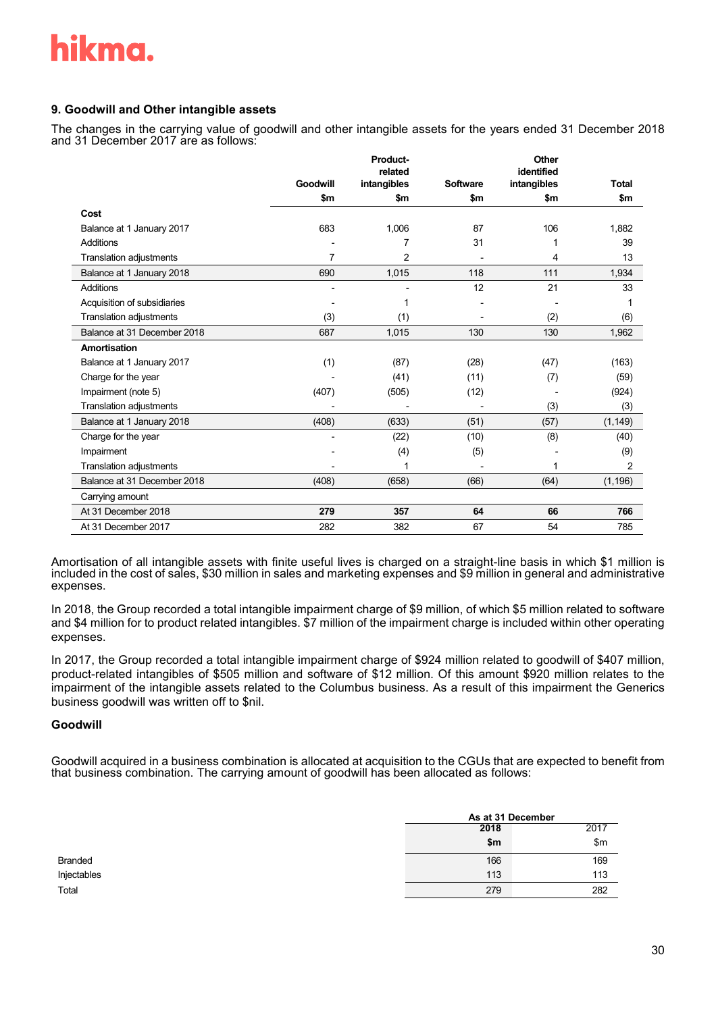

### **9. Goodwill and Other intangible assets**

The changes in the carrying value of goodwill and other intangible assets for the years ended 31 December 2018 and 31 December 2017 are as follows:

|                                |          | Product-               |                 | Other                     |              |
|--------------------------------|----------|------------------------|-----------------|---------------------------|--------------|
|                                | Goodwill | related<br>intangibles | <b>Software</b> | identified<br>intangibles | <b>Total</b> |
|                                | \$m      | \$m                    | \$m             | \$m                       | \$m          |
| Cost                           |          |                        |                 |                           |              |
| Balance at 1 January 2017      | 683      | 1,006                  | 87              | 106                       | 1,882        |
| <b>Additions</b>               |          | 7                      | 31              |                           | 39           |
| <b>Translation adjustments</b> | 7        | 2                      |                 | 4                         | 13           |
| Balance at 1 January 2018      | 690      | 1,015                  | 118             | 111                       | 1,934        |
| <b>Additions</b>               |          |                        | 12              | 21                        | 33           |
| Acquisition of subsidiaries    |          |                        |                 |                           |              |
| Translation adjustments        | (3)      | (1)                    |                 | (2)                       | (6)          |
| Balance at 31 December 2018    | 687      | 1,015                  | 130             | 130                       | 1,962        |
| Amortisation                   |          |                        |                 |                           |              |
| Balance at 1 January 2017      | (1)      | (87)                   | (28)            | (47)                      | (163)        |
| Charge for the year            |          | (41)                   | (11)            | (7)                       | (59)         |
| Impairment (note 5)            | (407)    | (505)                  | (12)            |                           | (924)        |
| <b>Translation adjustments</b> |          |                        |                 | (3)                       | (3)          |
| Balance at 1 January 2018      | (408)    | (633)                  | (51)            | (57)                      | (1, 149)     |
| Charge for the year            |          | (22)                   | (10)            | (8)                       | (40)         |
| Impairment                     |          | (4)                    | (5)             |                           | (9)          |
| <b>Translation adjustments</b> |          |                        |                 |                           | 2            |
| Balance at 31 December 2018    | (408)    | (658)                  | (66)            | (64)                      | (1, 196)     |
| Carrying amount                |          |                        |                 |                           |              |
| At 31 December 2018            | 279      | 357                    | 64              | 66                        | 766          |
| At 31 December 2017            | 282      | 382                    | 67              | 54                        | 785          |

Amortisation of all intangible assets with finite useful lives is charged on a straight-line basis in which \$1 million is included in the cost of sales, \$30 million in sales and marketing expenses and \$9 million in general and administrative expenses.

In 2018, the Group recorded a total intangible impairment charge of \$9 million, of which \$5 million related to software and \$4 million for to product related intangibles. \$7 million of the impairment charge is included within other operating expenses.

In 2017, the Group recorded a total intangible impairment charge of \$924 million related to goodwill of \$407 million, product-related intangibles of \$505 million and software of \$12 million. Of this amount \$920 million relates to the impairment of the intangible assets related to the Columbus business. As a result of this impairment the Generics business goodwill was written off to \$nil.

#### **Goodwill**

Goodwill acquired in a business combination is allocated at acquisition to the CGUs that are expected to benefit from that business combination. The carrying amount of goodwill has been allocated as follows:

|                | As at 31 December |      |  |
|----------------|-------------------|------|--|
|                | 2018              | 2017 |  |
|                | \$m               | \$m  |  |
| <b>Branded</b> | 166               | 169  |  |
| Injectables    | 113               | 113  |  |
| Total          | 279               | 282  |  |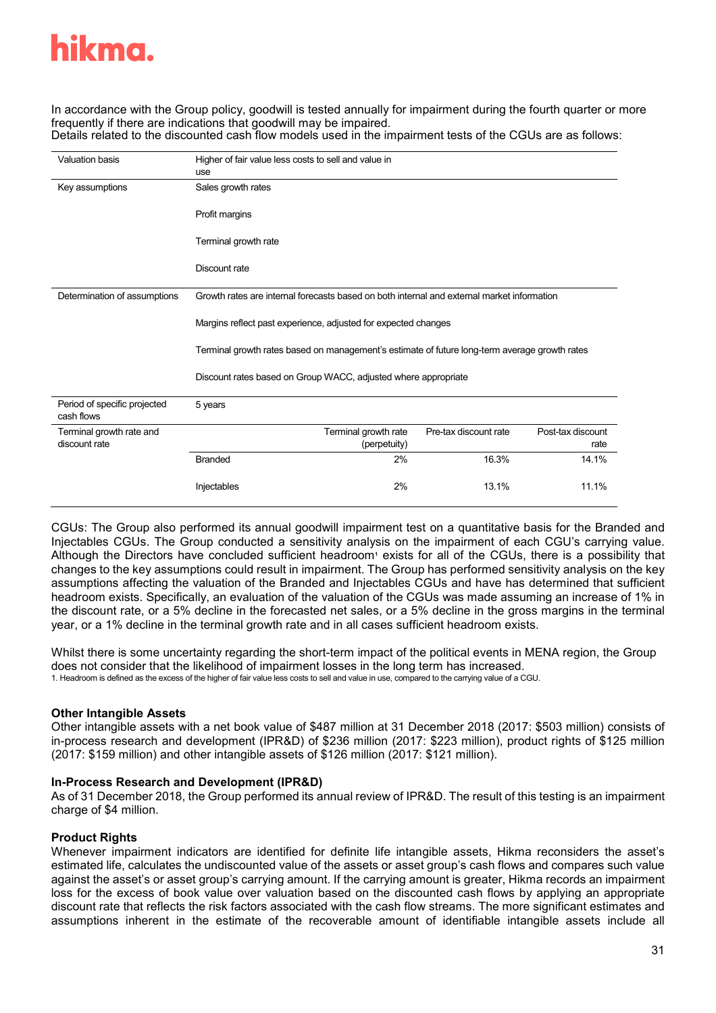In accordance with the Group policy, goodwill is tested annually for impairment during the fourth quarter or more frequently if there are indications that goodwill may be impaired.

Details related to the discounted cash flow models used in the impairment tests of the CGUs are as follows:

| <b>Valuation basis</b>                     | Higher of fair value less costs to sell and value in<br>use                                   |                                      |                       |                           |  |
|--------------------------------------------|-----------------------------------------------------------------------------------------------|--------------------------------------|-----------------------|---------------------------|--|
| Key assumptions                            | Sales growth rates                                                                            |                                      |                       |                           |  |
|                                            | Profit margins                                                                                |                                      |                       |                           |  |
|                                            | Terminal growth rate                                                                          |                                      |                       |                           |  |
|                                            | Discount rate                                                                                 |                                      |                       |                           |  |
| Determination of assumptions               | Growth rates are internal forecasts based on both internal and external market information    |                                      |                       |                           |  |
|                                            | Margins reflect past experience, adjusted for expected changes                                |                                      |                       |                           |  |
|                                            | Terminal growth rates based on management's estimate of future long-term average growth rates |                                      |                       |                           |  |
|                                            | Discount rates based on Group WACC, adjusted where appropriate                                |                                      |                       |                           |  |
| Period of specific projected<br>cash flows | 5 years                                                                                       |                                      |                       |                           |  |
| Terminal growth rate and<br>discount rate  |                                                                                               | Terminal growth rate<br>(perpetuity) | Pre-tax discount rate | Post-tax discount<br>rate |  |
|                                            | <b>Branded</b>                                                                                | 2%                                   | 16.3%                 | 14.1%                     |  |
|                                            | Injectables                                                                                   | 2%                                   | 13.1%                 | 11.1%                     |  |

CGUs: The Group also performed its annual goodwill impairment test on a quantitative basis for the Branded and Injectables CGUs. The Group conducted a sensitivity analysis on the impairment of each CGU's carrying value. Although the Directors have concluded sufficient headroom<sup>1</sup> exists for all of the CGUs, there is a possibility that changes to the key assumptions could result in impairment. The Group has performed sensitivity analysis on the key assumptions affecting the valuation of the Branded and Injectables CGUs and have has determined that sufficient headroom exists. Specifically, an evaluation of the valuation of the CGUs was made assuming an increase of 1% in the discount rate, or a 5% decline in the forecasted net sales, or a 5% decline in the gross margins in the terminal year, or a 1% decline in the terminal growth rate and in all cases sufficient headroom exists.

Whilst there is some uncertainty regarding the short-term impact of the political events in MENA region, the Group does not consider that the likelihood of impairment losses in the long term has increased. 1. Headroom is defined as the excess of the higher of fair value less costs to sell and value in use, compared to the carrying value of a CGU.

### **Other Intangible Assets**

Other intangible assets with a net book value of \$487 million at 31 December 2018 (2017: \$503 million) consists of in-process research and development (IPR&D) of \$236 million (2017: \$223 million), product rights of \$125 million (2017: \$159 million) and other intangible assets of \$126 million (2017: \$121 million).

### **In-Process Research and Development (IPR&D)**

As of 31 December 2018, the Group performed its annual review of IPR&D. The result of this testing is an impairment charge of \$4 million.

### **Product Rights**

Whenever impairment indicators are identified for definite life intangible assets, Hikma reconsiders the asset's estimated life, calculates the undiscounted value of the assets or asset group's cash flows and compares such value against the asset's or asset group's carrying amount. If the carrying amount is greater, Hikma records an impairment loss for the excess of book value over valuation based on the discounted cash flows by applying an appropriate discount rate that reflects the risk factors associated with the cash flow streams. The more significant estimates and assumptions inherent in the estimate of the recoverable amount of identifiable intangible assets include all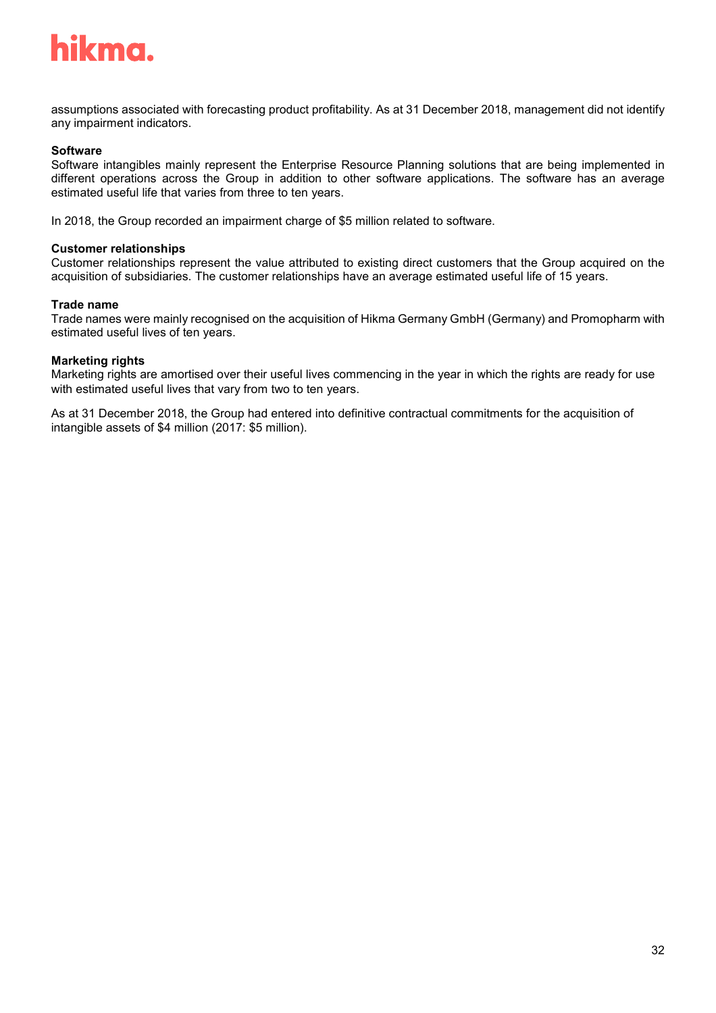

assumptions associated with forecasting product profitability. As at 31 December 2018, management did not identify any impairment indicators.

#### **Software**

Software intangibles mainly represent the Enterprise Resource Planning solutions that are being implemented in different operations across the Group in addition to other software applications. The software has an average estimated useful life that varies from three to ten years.

In 2018, the Group recorded an impairment charge of \$5 million related to software.

#### **Customer relationships**

Customer relationships represent the value attributed to existing direct customers that the Group acquired on the acquisition of subsidiaries. The customer relationships have an average estimated useful life of 15 years.

#### **Trade name**

Trade names were mainly recognised on the acquisition of Hikma Germany GmbH (Germany) and Promopharm with estimated useful lives of ten years.

#### **Marketing rights**

Marketing rights are amortised over their useful lives commencing in the year in which the rights are ready for use with estimated useful lives that vary from two to ten years.

As at 31 December 2018, the Group had entered into definitive contractual commitments for the acquisition of intangible assets of \$4 million (2017: \$5 million).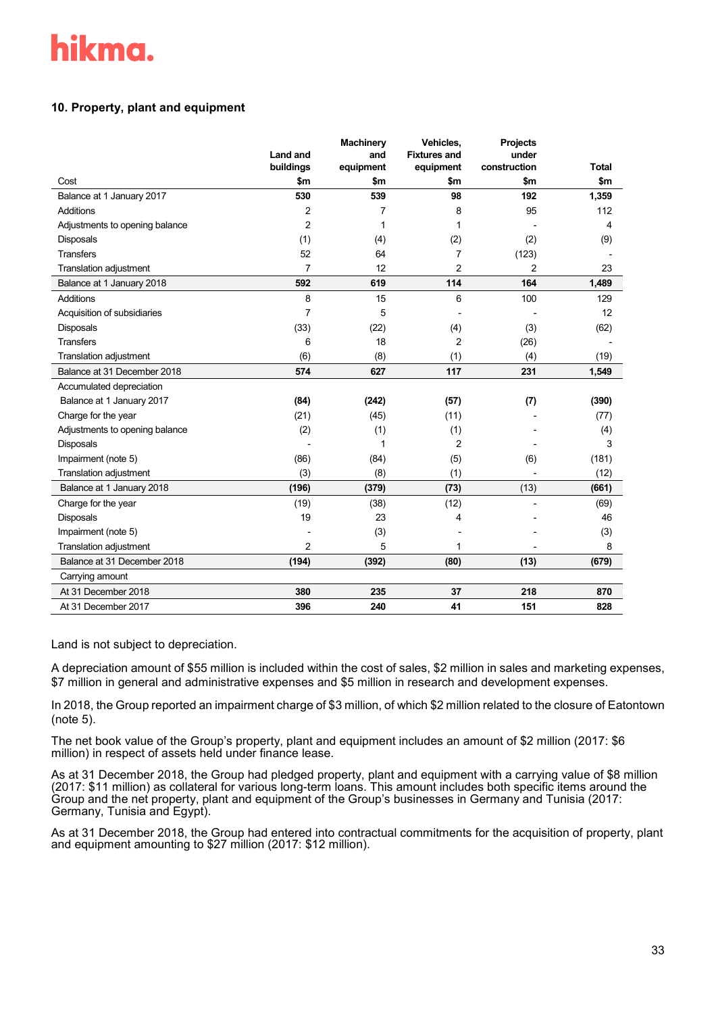# **10. Property, plant and equipment**

|                                | <b>Land and</b> | <b>Machinery</b><br>and | Vehicles,<br><b>Fixtures and</b> | <b>Projects</b><br>under |              |
|--------------------------------|-----------------|-------------------------|----------------------------------|--------------------------|--------------|
|                                | buildings       | equipment               | equipment                        | construction             | <b>Total</b> |
| Cost                           | \$m             | \$m                     | \$m\$                            | \$m                      | \$m          |
| Balance at 1 January 2017      | 530             | 539                     | 98                               | 192                      | 1,359        |
| Additions                      | $\overline{2}$  | 7                       | 8                                | 95                       | 112          |
| Adjustments to opening balance | $\overline{2}$  | 1                       | 1                                |                          | 4            |
| Disposals                      | (1)             | (4)                     | (2)                              | (2)                      | (9)          |
| <b>Transfers</b>               | 52              | 64                      | 7                                | (123)                    |              |
| Translation adjustment         | $\overline{7}$  | 12                      | $\overline{2}$                   | $\overline{2}$           | 23           |
| Balance at 1 January 2018      | 592             | 619                     | 114                              | 164                      | 1,489        |
| <b>Additions</b>               | 8               | 15                      | 6                                | 100                      | 129          |
| Acquisition of subsidiaries    | 7               | 5                       |                                  |                          | 12           |
| Disposals                      | (33)            | (22)                    | (4)                              | (3)                      | (62)         |
| <b>Transfers</b>               | 6               | 18                      | $\overline{2}$                   | (26)                     |              |
| Translation adjustment         | (6)             | (8)                     | (1)                              | (4)                      | (19)         |
| Balance at 31 December 2018    | 574             | 627                     | 117                              | 231                      | 1,549        |
| Accumulated depreciation       |                 |                         |                                  |                          |              |
| Balance at 1 January 2017      | (84)            | (242)                   | (57)                             | (7)                      | (390)        |
| Charge for the year            | (21)            | (45)                    | (11)                             |                          | (77)         |
| Adjustments to opening balance | (2)             | (1)                     | (1)                              |                          | (4)          |
| <b>Disposals</b>               |                 | 1                       | $\overline{2}$                   |                          | 3            |
| Impairment (note 5)            | (86)            | (84)                    | (5)                              | (6)                      | (181)        |
| Translation adjustment         | (3)             | (8)                     | (1)                              |                          | (12)         |
| Balance at 1 January 2018      | (196)           | (379)                   | (73)                             | (13)                     | (661)        |
| Charge for the year            | (19)            | (38)                    | (12)                             |                          | (69)         |
| <b>Disposals</b>               | 19              | 23                      | 4                                |                          | 46           |
| Impairment (note 5)            |                 | (3)                     |                                  |                          | (3)          |
| <b>Translation adjustment</b>  | 2               | 5                       | 1                                |                          | 8            |
| Balance at 31 December 2018    | (194)           | (392)                   | (80)                             | (13)                     | (679)        |
| Carrying amount                |                 |                         |                                  |                          |              |
| At 31 December 2018            | 380             | 235                     | 37                               | 218                      | 870          |
| At 31 December 2017            | 396             | 240                     | 41                               | 151                      | 828          |

Land is not subject to depreciation.

A depreciation amount of \$55 million is included within the cost of sales, \$2 million in sales and marketing expenses, \$7 million in general and administrative expenses and \$5 million in research and development expenses.

In 2018, the Group reported an impairment charge of \$3 million, of which \$2 million related to the closure of Eatontown (note 5).

The net book value of the Group's property, plant and equipment includes an amount of \$2 million (2017: \$6 million) in respect of assets held under finance lease.

As at 31 December 2018, the Group had pledged property, plant and equipment with a carrying value of \$8 million (2017: \$11 million) as collateral for various long-term loans. This amount includes both specific items around the Group and the net property, plant and equipment of the Group's businesses in Germany and Tunisia (2017: Germany, Tunisia and Egypt).

As at 31 December 2018, the Group had entered into contractual commitments for the acquisition of property, plant and equipment amounting to \$27 million (2017: \$12 million).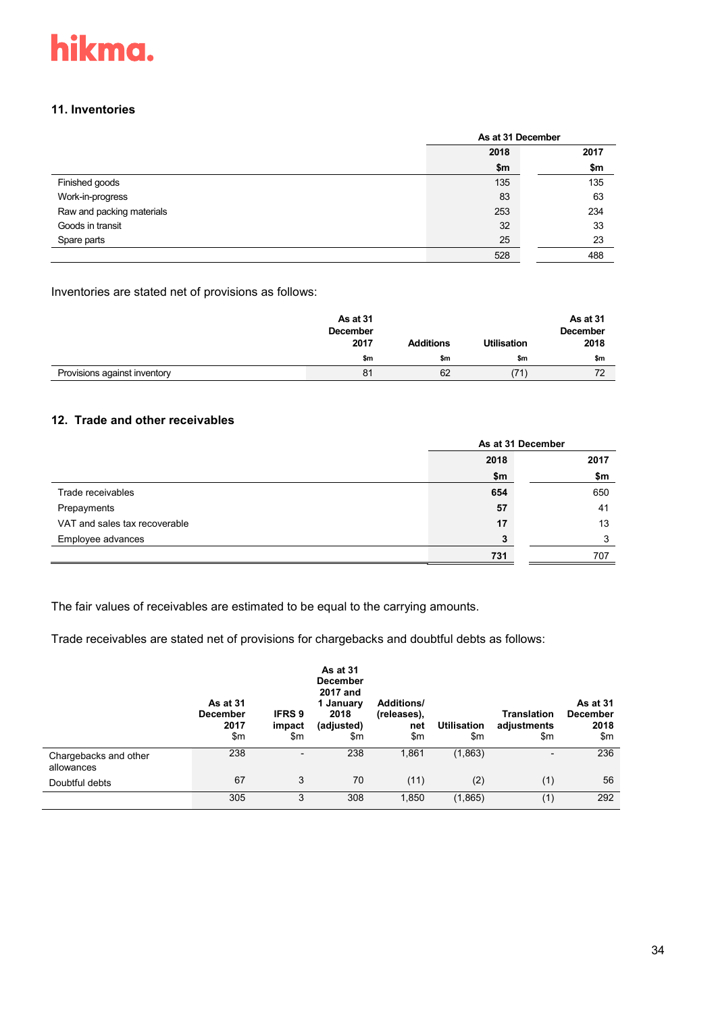

#### **11. Inventories**

|                           | As at 31 December |      |  |
|---------------------------|-------------------|------|--|
|                           | 2018              | 2017 |  |
|                           | \$m               | \$m  |  |
| Finished goods            | 135               | 135  |  |
| Work-in-progress          | 83                | 63   |  |
| Raw and packing materials | 253               | 234  |  |
| Goods in transit          | 32                | 33   |  |
| Spare parts               | 25                | 23   |  |
|                           | 528               | 488  |  |

Inventories are stated net of provisions as follows:

|                              | As at 31<br><b>December</b><br>2017 | <b>Additions</b> | <b>Utilisation</b> | As at 31<br><b>December</b><br>2018 |
|------------------------------|-------------------------------------|------------------|--------------------|-------------------------------------|
|                              | \$m                                 | \$m              | \$m                | \$m                                 |
| Provisions against inventory | 81                                  | 62               | (71)               | 72                                  |

# **12. Trade and other receivables**

|                               | As at 31 December |      |  |
|-------------------------------|-------------------|------|--|
|                               | 2018              | 2017 |  |
|                               | \$m               | \$m  |  |
| Trade receivables             | 654               | 650  |  |
| Prepayments                   | 57                | 41   |  |
| VAT and sales tax recoverable | 17                | 13   |  |
| Employee advances             |                   | ◠    |  |
|                               | 731               | 707  |  |

The fair values of receivables are estimated to be equal to the carrying amounts.

Trade receivables are stated net of provisions for chargebacks and doubtful debts as follows:

|                                     | As at 31<br><b>December</b><br>2017<br>\$m | <b>IFRS 9</b><br>impact<br>\$m | As at 31<br><b>December</b><br>2017 and<br>1 January<br>2018<br>(adjusted)<br>\$m | <b>Additions/</b><br>(releases),<br>net<br>\$m | <b>Utilisation</b><br>\$m | <b>Translation</b><br>adjustments<br>\$m | As at 31<br><b>December</b><br>2018<br>\$m |
|-------------------------------------|--------------------------------------------|--------------------------------|-----------------------------------------------------------------------------------|------------------------------------------------|---------------------------|------------------------------------------|--------------------------------------------|
| Chargebacks and other<br>allowances | 238                                        | $\overline{\phantom{a}}$       | 238                                                                               | 1,861                                          | (1, 863)                  | $\overline{\phantom{a}}$                 | 236                                        |
| Doubtful debts                      | 67                                         | 3                              | 70                                                                                | (11)                                           | (2)                       | (1)                                      | 56                                         |
|                                     | 305                                        | 3                              | 308                                                                               | 1,850                                          | (1, 865)                  | (1)                                      | 292                                        |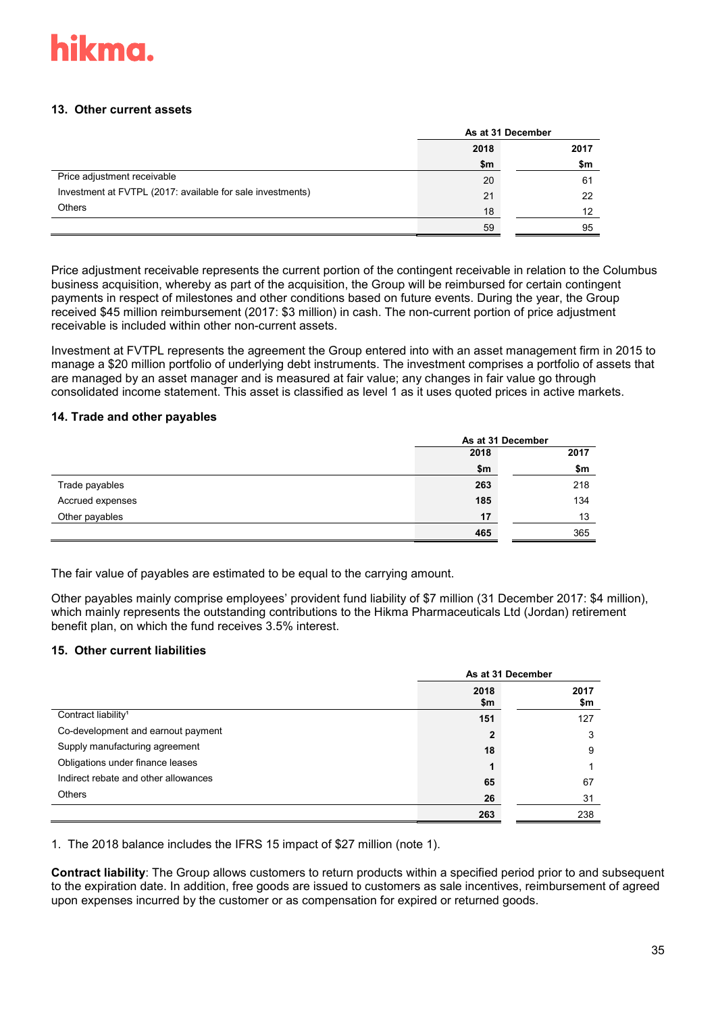

### **13. Other current assets**

|                                                            | As at 31 December |      |  |
|------------------------------------------------------------|-------------------|------|--|
|                                                            | 2018              | 2017 |  |
|                                                            | \$m               | \$m  |  |
| Price adjustment receivable                                | 20                | 61   |  |
| Investment at FVTPL (2017: available for sale investments) | 21                | 22   |  |
| <b>Others</b>                                              | 18                | 12   |  |
|                                                            | 59                | 95   |  |

Price adjustment receivable represents the current portion of the contingent receivable in relation to the Columbus business acquisition, whereby as part of the acquisition, the Group will be reimbursed for certain contingent payments in respect of milestones and other conditions based on future events. During the year, the Group received \$45 million reimbursement (2017: \$3 million) in cash. The non-current portion of price adjustment receivable is included within other non-current assets.

Investment at FVTPL represents the agreement the Group entered into with an asset management firm in 2015 to manage a \$20 million portfolio of underlying debt instruments. The investment comprises a portfolio of assets that are managed by an asset manager and is measured at fair value; any changes in fair value go through consolidated income statement. This asset is classified as level 1 as it uses quoted prices in active markets.

#### **14. Trade and other payables**

|                  | As at 31 December |      |
|------------------|-------------------|------|
|                  | 2018              | 2017 |
|                  | \$m               | \$m  |
| Trade payables   | 263               | 218  |
| Accrued expenses | 185               | 134  |
| Other payables   | 17                | 13   |
|                  | 465               | 365  |

The fair value of payables are estimated to be equal to the carrying amount.

Other payables mainly comprise employees' provident fund liability of \$7 million (31 December 2017: \$4 million), which mainly represents the outstanding contributions to the Hikma Pharmaceuticals Ltd (Jordan) retirement benefit plan, on which the fund receives 3.5% interest.

### **15. Other current liabilities**

|                                      | As at 31 December |             |  |
|--------------------------------------|-------------------|-------------|--|
|                                      | 2018<br>\$m       | 2017<br>\$m |  |
| Contract liability <sup>1</sup>      | 151               | 127         |  |
| Co-development and earnout payment   | 2                 | 3           |  |
| Supply manufacturing agreement       | 18                | 9           |  |
| Obligations under finance leases     |                   |             |  |
| Indirect rebate and other allowances | 65                | 67          |  |
| <b>Others</b>                        | 26                | 31          |  |
|                                      | 263               | 238         |  |

1. The 2018 balance includes the IFRS 15 impact of \$27 million (note 1).

**Contract liability**: The Group allows customers to return products within a specified period prior to and subsequent to the expiration date. In addition, free goods are issued to customers as sale incentives, reimbursement of agreed upon expenses incurred by the customer or as compensation for expired or returned goods.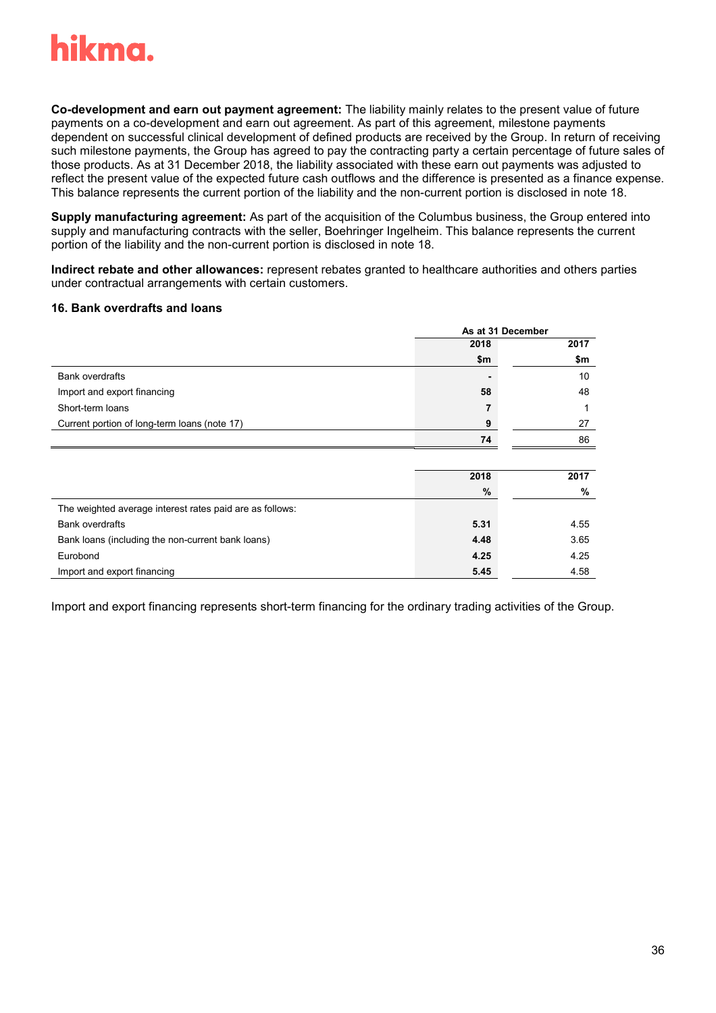

**Co-development and earn out payment agreement:** The liability mainly relates to the present value of future payments on a co-development and earn out agreement. As part of this agreement, milestone payments dependent on successful clinical development of defined products are received by the Group. In return of receiving such milestone payments, the Group has agreed to pay the contracting party a certain percentage of future sales of those products. As at 31 December 2018, the liability associated with these earn out payments was adjusted to reflect the present value of the expected future cash outflows and the difference is presented as a finance expense. This balance represents the current portion of the liability and the non-current portion is disclosed in note 18.

**Supply manufacturing agreement:** As part of the acquisition of the Columbus business, the Group entered into supply and manufacturing contracts with the seller, Boehringer Ingelheim. This balance represents the current portion of the liability and the non-current portion is disclosed in note 18.

**Indirect rebate and other allowances:** represent rebates granted to healthcare authorities and others parties under contractual arrangements with certain customers.

#### **16. Bank overdrafts and loans**

|                                                          | As at 31 December |      |
|----------------------------------------------------------|-------------------|------|
|                                                          | 2018              | 2017 |
|                                                          | \$m               | \$m  |
| <b>Bank overdrafts</b>                                   |                   | 10   |
| Import and export financing                              | 58                | 48   |
| Short-term loans                                         | 7                 | 1    |
| Current portion of long-term loans (note 17)             | 9                 | 27   |
|                                                          | 74                | 86   |
|                                                          |                   |      |
|                                                          | 2018              | 2017 |
|                                                          | %                 | %    |
| The weighted average interest rates paid are as follows: |                   |      |
| <b>Bank overdrafts</b>                                   | 5.31              | 4.55 |
| Bank loans (including the non-current bank loans)        | 4.48              | 3.65 |
| Eurobond                                                 | 4.25              | 4.25 |
| Import and export financing                              | 5.45              | 4.58 |

Import and export financing represents short-term financing for the ordinary trading activities of the Group.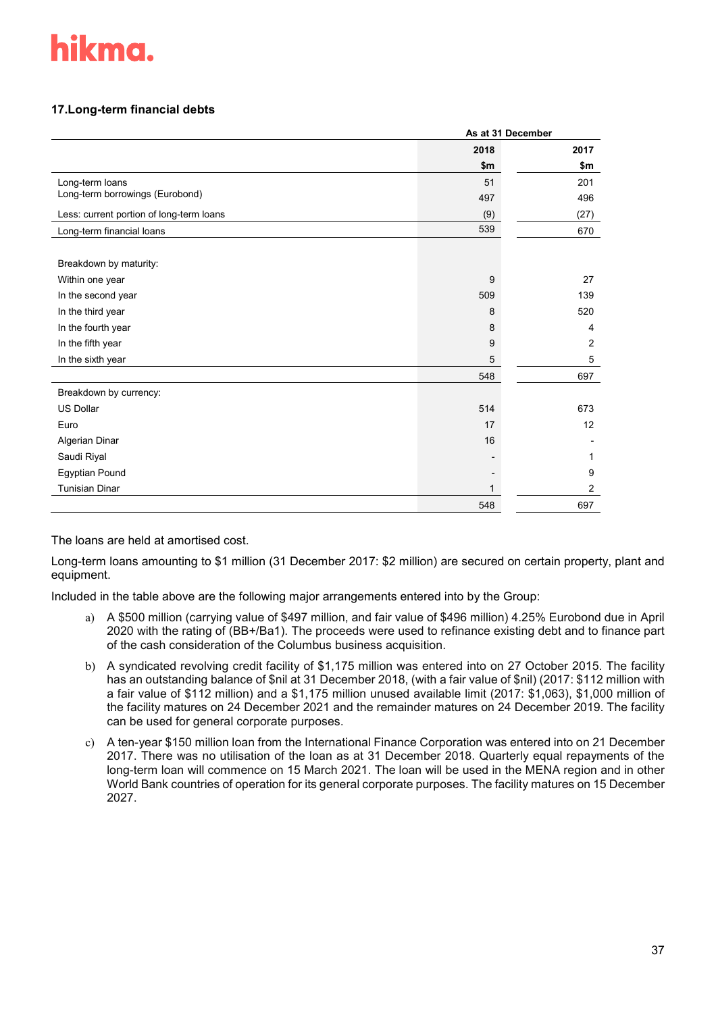# **17.Long-term financial debts**

|                                          | As at 31 December |                |  |
|------------------------------------------|-------------------|----------------|--|
|                                          | 2018              | 2017           |  |
|                                          | \$m               | \$m            |  |
| Long-term loans                          | 51                | 201            |  |
| Long-term borrowings (Eurobond)          | 497               | 496            |  |
| Less: current portion of long-term loans | (9)               | (27)           |  |
| Long-term financial loans                | 539               | 670            |  |
|                                          |                   |                |  |
| Breakdown by maturity:                   |                   |                |  |
| Within one year                          | 9                 | 27             |  |
| In the second year                       | 509               | 139            |  |
| In the third year                        | 8                 | 520            |  |
| In the fourth year                       | 8                 | 4              |  |
| In the fifth year                        | 9                 | $\overline{2}$ |  |
| In the sixth year                        | 5                 | 5              |  |
|                                          | 548               | 697            |  |
| Breakdown by currency:                   |                   |                |  |
| <b>US Dollar</b>                         | 514               | 673            |  |
| Euro                                     | 17                | 12             |  |
| Algerian Dinar                           | 16                |                |  |
| Saudi Riyal                              |                   | 1              |  |
| Egyptian Pound                           |                   | 9              |  |
| <b>Tunisian Dinar</b>                    |                   | $\overline{2}$ |  |
|                                          | 548               | 697            |  |

The loans are held at amortised cost.

Long-term loans amounting to \$1 million (31 December 2017: \$2 million) are secured on certain property, plant and equipment.

Included in the table above are the following major arrangements entered into by the Group:

- a) A \$500 million (carrying value of \$497 million, and fair value of \$496 million) 4.25% Eurobond due in April 2020 with the rating of (BB+/Ba1). The proceeds were used to refinance existing debt and to finance part of the cash consideration of the Columbus business acquisition.
- b) A syndicated revolving credit facility of \$1,175 million was entered into on 27 October 2015. The facility has an outstanding balance of \$nil at 31 December 2018, (with a fair value of \$nil) (2017: \$112 million with a fair value of \$112 million) and a \$1,175 million unused available limit (2017: \$1,063), \$1,000 million of the facility matures on 24 December 2021 and the remainder matures on 24 December 2019. The facility can be used for general corporate purposes.
- c) A ten-year \$150 million loan from the International Finance Corporation was entered into on 21 December 2017. There was no utilisation of the loan as at 31 December 2018. Quarterly equal repayments of the long-term loan will commence on 15 March 2021. The loan will be used in the MENA region and in other World Bank countries of operation for its general corporate purposes. The facility matures on 15 December 2027.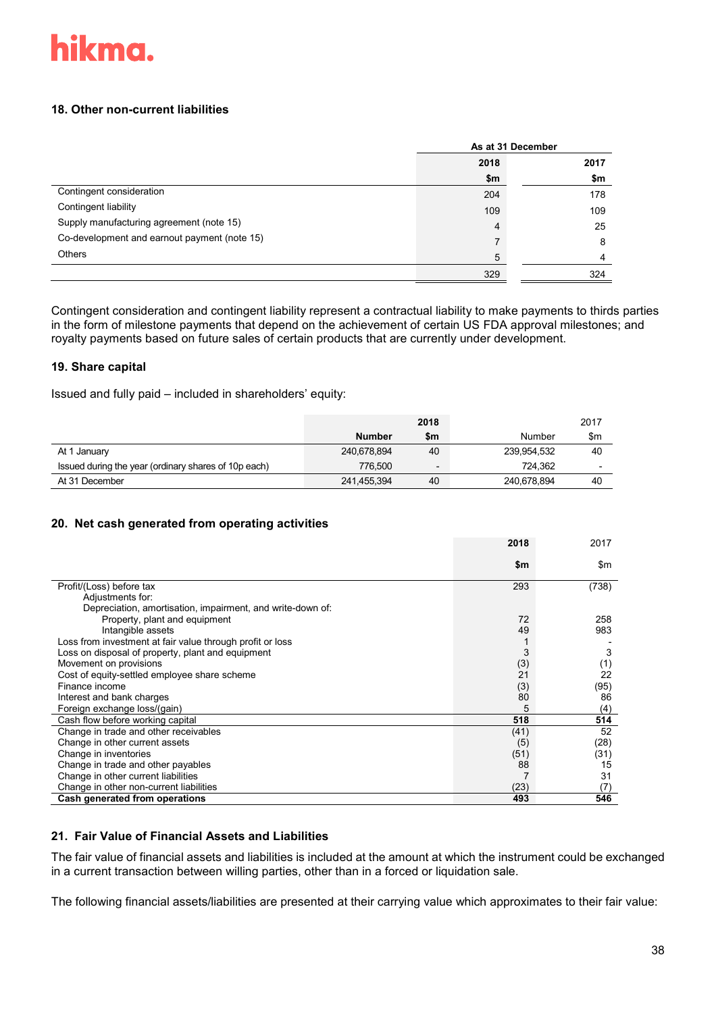### **18. Other non-current liabilities**

|                                              | As at 31 December |      |
|----------------------------------------------|-------------------|------|
|                                              | 2018              | 2017 |
|                                              | \$m               | \$m  |
| Contingent consideration                     | 204               | 178  |
| Contingent liability                         | 109               | 109  |
| Supply manufacturing agreement (note 15)     | 4                 | 25   |
| Co-development and earnout payment (note 15) |                   | 8    |
| <b>Others</b>                                | 5                 | 4    |
|                                              | 329               | 324  |

Contingent consideration and contingent liability represent a contractual liability to make payments to thirds parties in the form of milestone payments that depend on the achievement of certain US FDA approval milestones; and royalty payments based on future sales of certain products that are currently under development.

# **19. Share capital**

Issued and fully paid – included in shareholders' equity:

|                                                      |               | 2018                     |             | 2017                     |
|------------------------------------------------------|---------------|--------------------------|-------------|--------------------------|
|                                                      | <b>Number</b> | \$m                      | Number      | \$m                      |
| At 1 January                                         | 240,678,894   | 40                       | 239,954,532 | 40                       |
| Issued during the year (ordinary shares of 10p each) | 776.500       | $\overline{\phantom{0}}$ | 724.362     | $\overline{\phantom{0}}$ |
| At 31 December                                       | 241,455,394   | 40                       | 240,678,894 | 40                       |

### **20. Net cash generated from operating activities**

|                                                            | 2018 | 2017  |
|------------------------------------------------------------|------|-------|
|                                                            | \$m  | \$m   |
| Profit/(Loss) before tax                                   | 293  | (738) |
| Adjustments for:                                           |      |       |
| Depreciation, amortisation, impairment, and write-down of: |      |       |
| Property, plant and equipment                              | 72   | 258   |
| Intangible assets                                          | 49   | 983   |
| Loss from investment at fair value through profit or loss  |      |       |
| Loss on disposal of property, plant and equipment          | 3    | 3     |
| Movement on provisions                                     | (3)  | (1)   |
| Cost of equity-settled employee share scheme               | 21   | 22    |
| Finance income                                             | (3)  | (95)  |
| Interest and bank charges                                  | 80   | 86    |
| Foreign exchange loss/(gain)                               | 5    | (4)   |
| Cash flow before working capital                           | 518  | 514   |
| Change in trade and other receivables                      | (41) | 52    |
| Change in other current assets                             | (5)  | (28)  |
| Change in inventories                                      | (51) | (31)  |
| Change in trade and other payables                         | 88   | 15    |
| Change in other current liabilities                        |      | 31    |
| Change in other non-current liabilities                    | (23) | (7    |
| Cash generated from operations                             | 493  | 546   |

### **21. Fair Value of Financial Assets and Liabilities**

The fair value of financial assets and liabilities is included at the amount at which the instrument could be exchanged in a current transaction between willing parties, other than in a forced or liquidation sale.

The following financial assets/liabilities are presented at their carrying value which approximates to their fair value: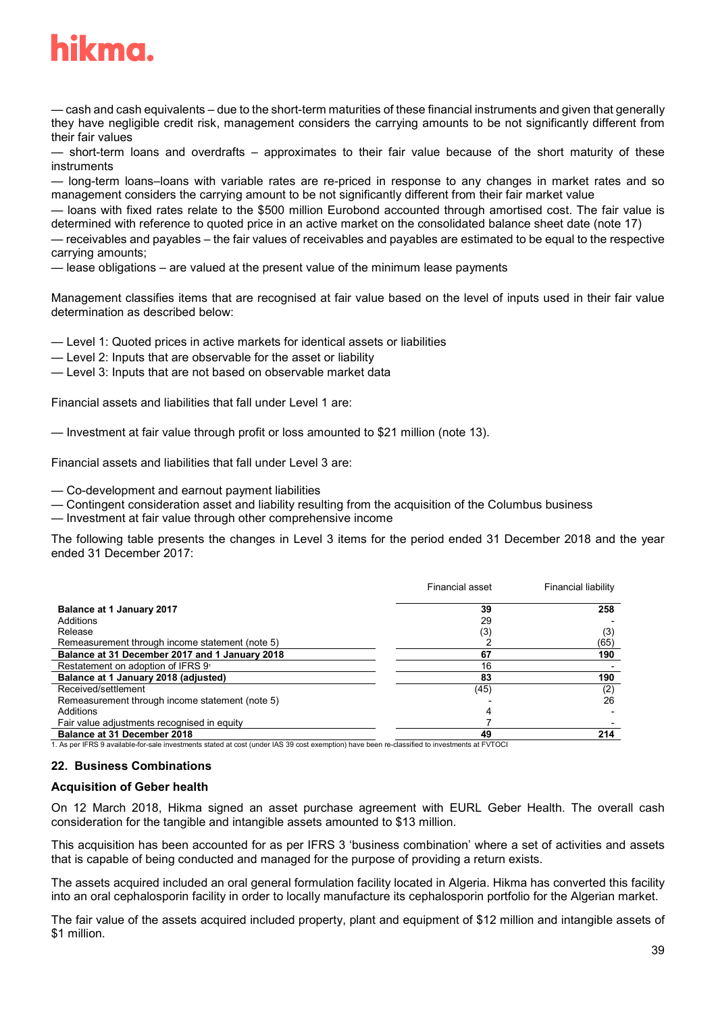

— cash and cash equivalents – due to the short-term maturities of these financial instruments and given that generally they have negligible credit risk, management considers the carrying amounts to be not significantly different from their fair values

— short-term loans and overdrafts – approximates to their fair value because of the short maturity of these instruments

— long-term loans–loans with variable rates are re-priced in response to any changes in market rates and so management considers the carrying amount to be not significantly different from their fair market value

— loans with fixed rates relate to the \$500 million Eurobond accounted through amortised cost. The fair value is determined with reference to quoted price in an active market on the consolidated balance sheet date (note 17)

— receivables and payables – the fair values of receivables and payables are estimated to be equal to the respective carrying amounts;

— lease obligations – are valued at the present value of the minimum lease payments

Management classifies items that are recognised at fair value based on the level of inputs used in their fair value determination as described below:

— Level 1: Quoted prices in active markets for identical assets or liabilities

- Level 2: Inputs that are observable for the asset or liability
- Level 3: Inputs that are not based on observable market data

Financial assets and liabilities that fall under Level 1 are:

— Investment at fair value through profit or loss amounted to \$21 million (note 13).

Financial assets and liabilities that fall under Level 3 are:

— Co-development and earnout payment liabilities

— Contingent consideration asset and liability resulting from the acquisition of the Columbus business

— Investment at fair value through other comprehensive income

The following table presents the changes in Level 3 items for the period ended 31 December 2018 and the year ended 31 December 2017:

|                                                                                                                                              | Financial asset | <b>Financial liability</b> |
|----------------------------------------------------------------------------------------------------------------------------------------------|-----------------|----------------------------|
| Balance at 1 January 2017                                                                                                                    | 39              | 258                        |
| Additions                                                                                                                                    | 29              |                            |
| Release                                                                                                                                      | (3)             | (3)                        |
| Remeasurement through income statement (note 5)                                                                                              |                 | (65)                       |
| Balance at 31 December 2017 and 1 January 2018                                                                                               | 67              | 190                        |
| Restatement on adoption of IFRS 9                                                                                                            | 16              |                            |
| Balance at 1 January 2018 (adjusted)                                                                                                         | 83              | 190                        |
| Received/settlement                                                                                                                          | (45)            | (2)                        |
| Remeasurement through income statement (note 5)                                                                                              |                 | 26                         |
| Additions                                                                                                                                    |                 |                            |
| Fair value adjustments recognised in equity                                                                                                  |                 |                            |
| Balance at 31 December 2018                                                                                                                  | 49              | 214                        |
| . As per IFRS 9 available-for-sale investments stated at cost (under IAS 39 cost exemption) have been re-classified to investments at FVTOCI |                 |                            |

#### **22. Business Combinations**

#### **Acquisition of Geber health**

On 12 March 2018, Hikma signed an asset purchase agreement with EURL Geber Health. The overall cash consideration for the tangible and intangible assets amounted to \$13 million.

This acquisition has been accounted for as per IFRS 3 'business combination' where a set of activities and assets that is capable of being conducted and managed for the purpose of providing a return exists.

The assets acquired included an oral general formulation facility located in Algeria. Hikma has converted this facility into an oral cephalosporin facility in order to locally manufacture its cephalosporin portfolio for the Algerian market.

The fair value of the assets acquired included property, plant and equipment of \$12 million and intangible assets of \$1 million.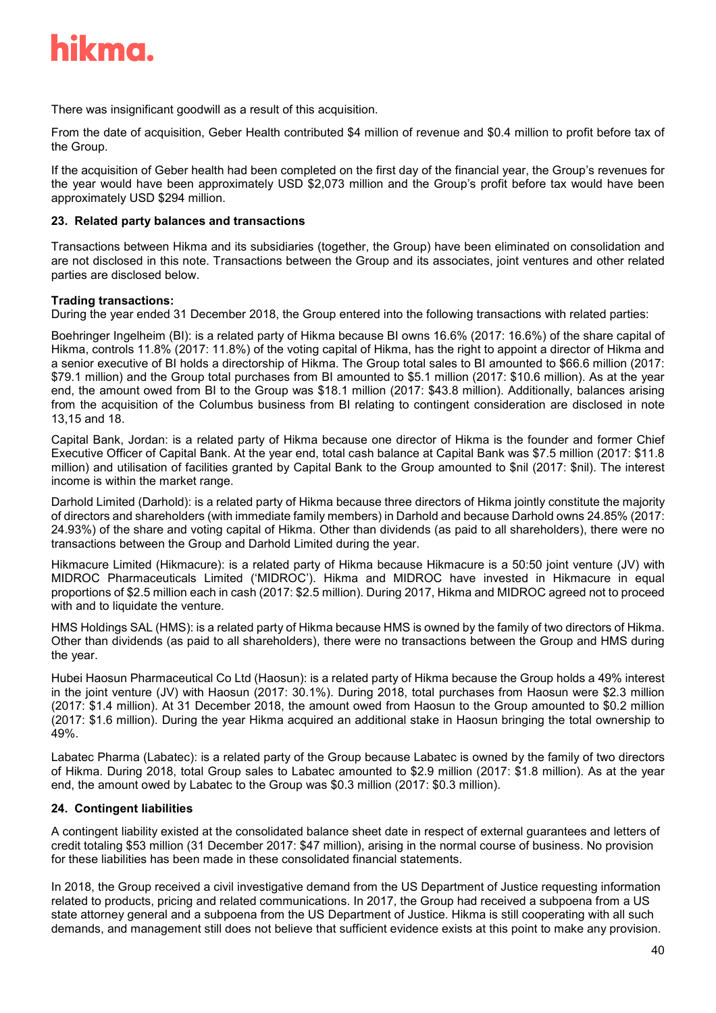

There was insignificant goodwill as a result of this acquisition.

From the date of acquisition, Geber Health contributed \$4 million of revenue and \$0.4 million to profit before tax of the Group.

If the acquisition of Geber health had been completed on the first day of the financial year, the Group's revenues for the year would have been approximately USD \$2,073 million and the Group's profit before tax would have been approximately USD \$294 million.

#### **23. Related party balances and transactions**

Transactions between Hikma and its subsidiaries (together, the Group) have been eliminated on consolidation and are not disclosed in this note. Transactions between the Group and its associates, joint ventures and other related parties are disclosed below.

#### **Trading transactions:**

During the year ended 31 December 2018, the Group entered into the following transactions with related parties:

Boehringer Ingelheim (BI): is a related party of Hikma because BI owns 16.6% (2017: 16.6%) of the share capital of Hikma, controls 11.8% (2017: 11.8%) of the voting capital of Hikma, has the right to appoint a director of Hikma and a senior executive of BI holds a directorship of Hikma. The Group total sales to BI amounted to \$66.6 million (2017: \$79.1 million) and the Group total purchases from BI amounted to \$5.1 million (2017: \$10.6 million). As at the year end, the amount owed from BI to the Group was \$18.1 million (2017: \$43.8 million). Additionally, balances arising from the acquisition of the Columbus business from BI relating to contingent consideration are disclosed in note 13,15 and 18.

Capital Bank, Jordan: is a related party of Hikma because one director of Hikma is the founder and former Chief Executive Officer of Capital Bank. At the year end, total cash balance at Capital Bank was \$7.5 million (2017: \$11.8 million) and utilisation of facilities granted by Capital Bank to the Group amounted to \$nil (2017: \$nil). The interest income is within the market range.

Darhold Limited (Darhold): is a related party of Hikma because three directors of Hikma jointly constitute the majority of directors and shareholders (with immediate family members) in Darhold and because Darhold owns 24.85% (2017: 24.93%) of the share and voting capital of Hikma. Other than dividends (as paid to all shareholders), there were no transactions between the Group and Darhold Limited during the year.

Hikmacure Limited (Hikmacure): is a related party of Hikma because Hikmacure is a 50:50 joint venture (JV) with MIDROC Pharmaceuticals Limited ('MIDROC'). Hikma and MIDROC have invested in Hikmacure in equal proportions of \$2.5 million each in cash (2017: \$2.5 million). During 2017, Hikma and MIDROC agreed not to proceed with and to liquidate the venture.

HMS Holdings SAL (HMS): is a related party of Hikma because HMS is owned by the family of two directors of Hikma. Other than dividends (as paid to all shareholders), there were no transactions between the Group and HMS during the year.

Hubei Haosun Pharmaceutical Co Ltd (Haosun): is a related party of Hikma because the Group holds a 49% interest in the joint venture (JV) with Haosun (2017: 30.1%). During 2018, total purchases from Haosun were \$2.3 million (2017: \$1.4 million). At 31 December 2018, the amount owed from Haosun to the Group amounted to \$0.2 million (2017: \$1.6 million). During the year Hikma acquired an additional stake in Haosun bringing the total ownership to 49%.

Labatec Pharma (Labatec): is a related party of the Group because Labatec is owned by the family of two directors of Hikma. During 2018, total Group sales to Labatec amounted to \$2.9 million (2017: \$1.8 million). As at the year end, the amount owed by Labatec to the Group was \$0.3 million (2017: \$0.3 million).

#### **24. Contingent liabilities**

A contingent liability existed at the consolidated balance sheet date in respect of external guarantees and letters of credit totaling \$53 million (31 December 2017: \$47 million), arising in the normal course of business. No provision for these liabilities has been made in these consolidated financial statements.

In 2018, the Group received a civil investigative demand from the US Department of Justice requesting information related to products, pricing and related communications. In 2017, the Group had received a subpoena from a US state attorney general and a subpoena from the US Department of Justice. Hikma is still cooperating with all such demands, and management still does not believe that sufficient evidence exists at this point to make any provision.